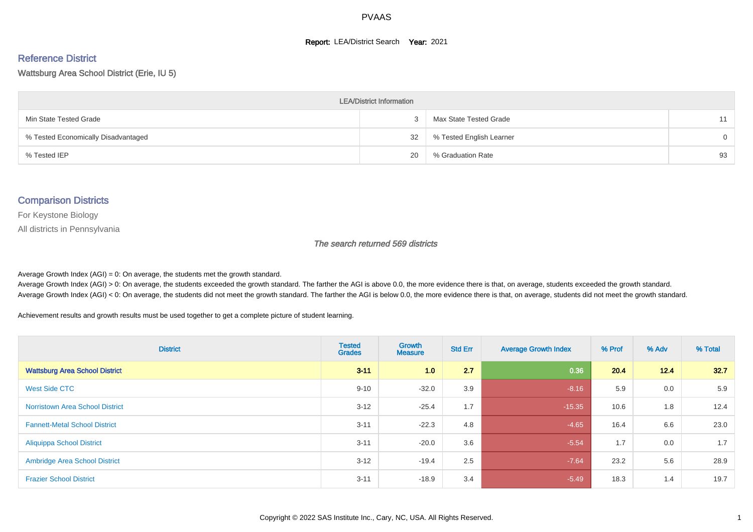#### **Report: LEA/District Search Year: 2021**

# Reference District

#### Wattsburg Area School District (Erie, IU 5)

| <b>LEA/District Information</b>     |    |                          |          |  |  |  |  |  |  |  |
|-------------------------------------|----|--------------------------|----------|--|--|--|--|--|--|--|
| Min State Tested Grade              |    | Max State Tested Grade   | 11       |  |  |  |  |  |  |  |
| % Tested Economically Disadvantaged | 32 | % Tested English Learner | $\Omega$ |  |  |  |  |  |  |  |
| % Tested IEP                        | 20 | % Graduation Rate        | 93       |  |  |  |  |  |  |  |

#### Comparison Districts

For Keystone Biology

All districts in Pennsylvania

The search returned 569 districts

Average Growth Index  $(AGI) = 0$ : On average, the students met the growth standard.

Average Growth Index (AGI) > 0: On average, the students exceeded the growth standard. The farther the AGI is above 0.0, the more evidence there is that, on average, students exceeded the growth standard. Average Growth Index (AGI) < 0: On average, the students did not meet the growth standard. The farther the AGI is below 0.0, the more evidence there is that, on average, students did not meet the growth standard.

Achievement results and growth results must be used together to get a complete picture of student learning.

| <b>District</b>                        | <b>Tested</b><br><b>Grades</b> | Growth<br><b>Measure</b> | <b>Std Err</b> | <b>Average Growth Index</b> | % Prof | % Adv | % Total |
|----------------------------------------|--------------------------------|--------------------------|----------------|-----------------------------|--------|-------|---------|
| <b>Wattsburg Area School District</b>  | $3 - 11$                       | 1.0                      | 2.7            | 0.36                        | 20.4   | 12.4  | 32.7    |
| West Side CTC                          | $9 - 10$                       | $-32.0$                  | 3.9            | $-8.16$                     | 5.9    | 0.0   | 5.9     |
| <b>Norristown Area School District</b> | $3 - 12$                       | $-25.4$                  | 1.7            | $-15.35$                    | 10.6   | 1.8   | 12.4    |
| <b>Fannett-Metal School District</b>   | $3 - 11$                       | $-22.3$                  | 4.8            | $-4.65$                     | 16.4   | 6.6   | 23.0    |
| <b>Aliquippa School District</b>       | $3 - 11$                       | $-20.0$                  | 3.6            | $-5.54$                     | 1.7    | 0.0   | 1.7     |
| <b>Ambridge Area School District</b>   | $3 - 12$                       | $-19.4$                  | 2.5            | $-7.64$                     | 23.2   | 5.6   | 28.9    |
| <b>Frazier School District</b>         | $3 - 11$                       | $-18.9$                  | 3.4            | $-5.49$                     | 18.3   | 1.4   | 19.7    |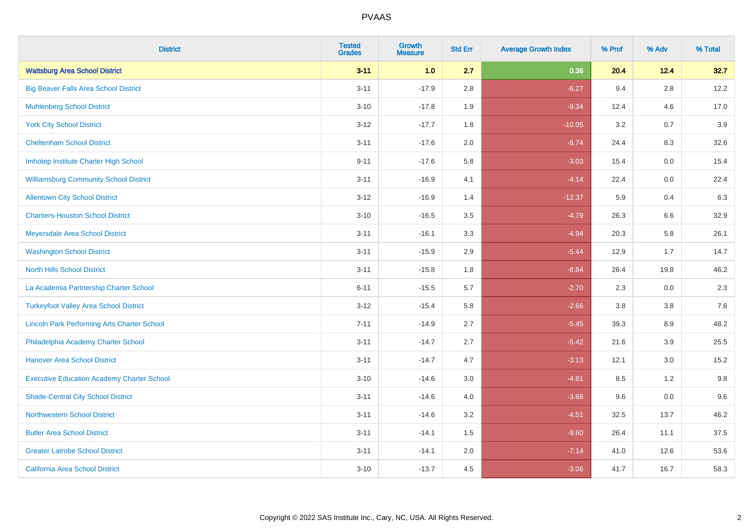| <b>District</b>                                    | <b>Tested</b><br><b>Grades</b> | <b>Growth</b><br><b>Measure</b> | <b>Std Err</b> | <b>Average Growth Index</b> | % Prof | % Adv   | % Total |
|----------------------------------------------------|--------------------------------|---------------------------------|----------------|-----------------------------|--------|---------|---------|
| <b>Wattsburg Area School District</b>              | $3 - 11$                       | 1.0                             | 2.7            | 0.36                        | 20.4   | 12.4    | 32.7    |
| <b>Big Beaver Falls Area School District</b>       | $3 - 11$                       | $-17.9$                         | 2.8            | $-6.27$                     | 9.4    | $2.8\,$ | 12.2    |
| <b>Muhlenberg School District</b>                  | $3 - 10$                       | $-17.8$                         | 1.9            | $-9.34$                     | 12.4   | 4.6     | 17.0    |
| <b>York City School District</b>                   | $3 - 12$                       | $-17.7$                         | 1.8            | $-10.05$                    | 3.2    | 0.7     | 3.9     |
| <b>Cheltenham School District</b>                  | $3 - 11$                       | $-17.6$                         | 2.0            | $-8.74$                     | 24.4   | 8.3     | 32.6    |
| Imhotep Institute Charter High School              | $9 - 11$                       | $-17.6$                         | 5.8            | $-3.03$                     | 15.4   | 0.0     | 15.4    |
| <b>Williamsburg Community School District</b>      | $3 - 11$                       | $-16.9$                         | 4.1            | $-4.14$                     | 22.4   | 0.0     | 22.4    |
| <b>Allentown City School District</b>              | $3 - 12$                       | $-16.9$                         | 1.4            | $-12.37$                    | 5.9    | 0.4     | 6.3     |
| <b>Chartiers-Houston School District</b>           | $3 - 10$                       | $-16.5$                         | 3.5            | $-4.79$                     | 26.3   | 6.6     | 32.9    |
| Meyersdale Area School District                    | $3 - 11$                       | $-16.1$                         | 3.3            | $-4.94$                     | 20.3   | 5.8     | 26.1    |
| <b>Washington School District</b>                  | $3 - 11$                       | $-15.9$                         | 2.9            | $-5.44$                     | 12.9   | 1.7     | 14.7    |
| <b>North Hills School District</b>                 | $3 - 11$                       | $-15.8$                         | 1.8            | $-8.84$                     | 26.4   | 19.8    | 46.2    |
| La Academia Partnership Charter School             | $6 - 11$                       | $-15.5$                         | 5.7            | $-2.70$                     | 2.3    | $0.0\,$ | 2.3     |
| <b>Turkeyfoot Valley Area School District</b>      | $3 - 12$                       | $-15.4$                         | 5.8            | $-2.66$                     | 3.8    | 3.8     | 7.6     |
| <b>Lincoln Park Performing Arts Charter School</b> | $7 - 11$                       | $-14.9$                         | 2.7            | $-5.45$                     | 39.3   | 8.9     | 48.2    |
| Philadelphia Academy Charter School                | $3 - 11$                       | $-14.7$                         | 2.7            | $-5.42$                     | 21.6   | 3.9     | 25.5    |
| <b>Hanover Area School District</b>                | $3 - 11$                       | $-14.7$                         | 4.7            | $-3.13$                     | 12.1   | 3.0     | 15.2    |
| <b>Executive Education Academy Charter School</b>  | $3 - 10$                       | $-14.6$                         | 3.0            | $-4.81$                     | 8.5    | 1.2     | 9.8     |
| <b>Shade-Central City School District</b>          | $3 - 11$                       | $-14.6$                         | 4.0            | $-3.68$                     | 9.6    | 0.0     | 9.6     |
| <b>Northwestern School District</b>                | $3 - 11$                       | $-14.6$                         | 3.2            | $-4.51$                     | 32.5   | 13.7    | 46.2    |
| <b>Butler Area School District</b>                 | $3 - 11$                       | $-14.1$                         | 1.5            | $-9.60$                     | 26.4   | 11.1    | 37.5    |
| <b>Greater Latrobe School District</b>             | $3 - 11$                       | $-14.1$                         | 2.0            | $-7.14$                     | 41.0   | 12.6    | 53.6    |
| <b>California Area School District</b>             | $3 - 10$                       | $-13.7$                         | 4.5            | $-3.06$                     | 41.7   | 16.7    | 58.3    |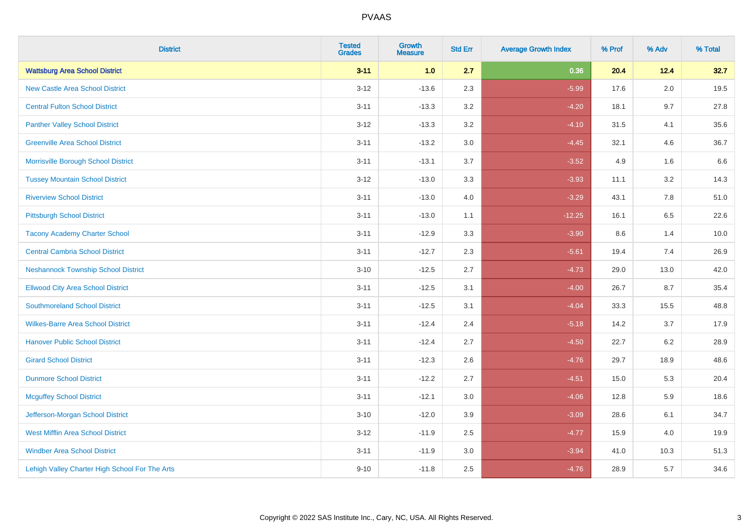| <b>District</b>                                | <b>Tested</b><br><b>Grades</b> | <b>Growth</b><br><b>Measure</b> | <b>Std Err</b> | <b>Average Growth Index</b> | % Prof | % Adv   | % Total |
|------------------------------------------------|--------------------------------|---------------------------------|----------------|-----------------------------|--------|---------|---------|
| <b>Wattsburg Area School District</b>          | $3 - 11$                       | 1.0                             | 2.7            | 0.36                        | 20.4   | 12.4    | 32.7    |
| <b>New Castle Area School District</b>         | $3 - 12$                       | $-13.6$                         | 2.3            | $-5.99$                     | 17.6   | $2.0\,$ | 19.5    |
| <b>Central Fulton School District</b>          | $3 - 11$                       | $-13.3$                         | 3.2            | $-4.20$                     | 18.1   | 9.7     | 27.8    |
| <b>Panther Valley School District</b>          | $3-12$                         | $-13.3$                         | 3.2            | $-4.10$                     | 31.5   | 4.1     | 35.6    |
| <b>Greenville Area School District</b>         | $3 - 11$                       | $-13.2$                         | 3.0            | $-4.45$                     | 32.1   | 4.6     | 36.7    |
| Morrisville Borough School District            | $3 - 11$                       | $-13.1$                         | 3.7            | $-3.52$                     | 4.9    | 1.6     | 6.6     |
| <b>Tussey Mountain School District</b>         | $3 - 12$                       | $-13.0$                         | 3.3            | $-3.93$                     | 11.1   | 3.2     | 14.3    |
| <b>Riverview School District</b>               | $3 - 11$                       | $-13.0$                         | 4.0            | $-3.29$                     | 43.1   | 7.8     | 51.0    |
| <b>Pittsburgh School District</b>              | $3 - 11$                       | $-13.0$                         | 1.1            | $-12.25$                    | 16.1   | 6.5     | 22.6    |
| <b>Tacony Academy Charter School</b>           | $3 - 11$                       | $-12.9$                         | 3.3            | $-3.90$                     | 8.6    | 1.4     | 10.0    |
| <b>Central Cambria School District</b>         | $3 - 11$                       | $-12.7$                         | 2.3            | $-5.61$                     | 19.4   | 7.4     | 26.9    |
| <b>Neshannock Township School District</b>     | $3 - 10$                       | $-12.5$                         | 2.7            | $-4.73$                     | 29.0   | 13.0    | 42.0    |
| <b>Ellwood City Area School District</b>       | $3 - 11$                       | $-12.5$                         | 3.1            | $-4.00$                     | 26.7   | 8.7     | 35.4    |
| <b>Southmoreland School District</b>           | $3 - 11$                       | $-12.5$                         | 3.1            | $-4.04$                     | 33.3   | 15.5    | 48.8    |
| <b>Wilkes-Barre Area School District</b>       | $3 - 11$                       | $-12.4$                         | 2.4            | $-5.18$                     | 14.2   | 3.7     | 17.9    |
| <b>Hanover Public School District</b>          | $3 - 11$                       | $-12.4$                         | 2.7            | $-4.50$                     | 22.7   | $6.2\,$ | 28.9    |
| <b>Girard School District</b>                  | $3 - 11$                       | $-12.3$                         | 2.6            | $-4.76$                     | 29.7   | 18.9    | 48.6    |
| <b>Dunmore School District</b>                 | $3 - 11$                       | $-12.2$                         | 2.7            | $-4.51$                     | 15.0   | 5.3     | 20.4    |
| <b>Mcguffey School District</b>                | $3 - 11$                       | $-12.1$                         | 3.0            | $-4.06$                     | 12.8   | 5.9     | 18.6    |
| Jefferson-Morgan School District               | $3 - 10$                       | $-12.0$                         | 3.9            | $-3.09$                     | 28.6   | 6.1     | 34.7    |
| <b>West Mifflin Area School District</b>       | $3-12$                         | $-11.9$                         | 2.5            | $-4.77$                     | 15.9   | 4.0     | 19.9    |
| <b>Windber Area School District</b>            | $3 - 11$                       | $-11.9$                         | 3.0            | $-3.94$                     | 41.0   | 10.3    | 51.3    |
| Lehigh Valley Charter High School For The Arts | $9 - 10$                       | $-11.8$                         | 2.5            | $-4.76$                     | 28.9   | 5.7     | 34.6    |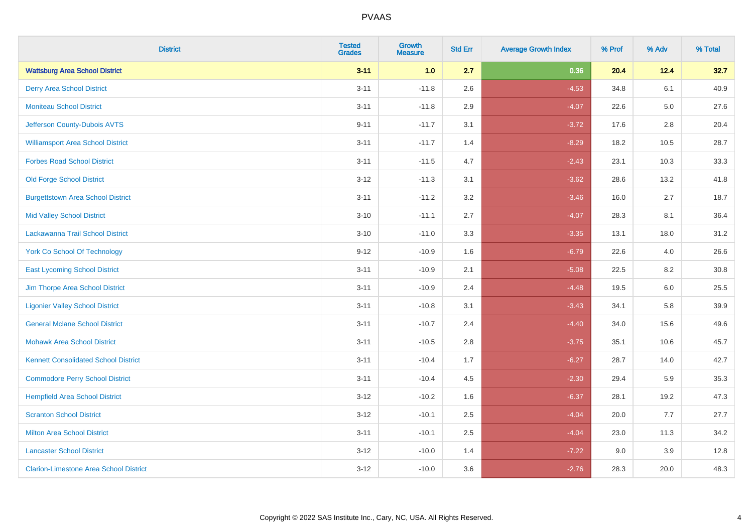| <b>District</b>                               | <b>Tested</b><br><b>Grades</b> | <b>Growth</b><br><b>Measure</b> | <b>Std Err</b> | <b>Average Growth Index</b> | % Prof | % Adv   | % Total |
|-----------------------------------------------|--------------------------------|---------------------------------|----------------|-----------------------------|--------|---------|---------|
| <b>Wattsburg Area School District</b>         | $3 - 11$                       | 1.0                             | 2.7            | 0.36                        | 20.4   | 12.4    | 32.7    |
| <b>Derry Area School District</b>             | $3 - 11$                       | $-11.8$                         | 2.6            | $-4.53$                     | 34.8   | 6.1     | 40.9    |
| <b>Moniteau School District</b>               | $3 - 11$                       | $-11.8$                         | 2.9            | $-4.07$                     | 22.6   | $5.0\,$ | 27.6    |
| Jefferson County-Dubois AVTS                  | $9 - 11$                       | $-11.7$                         | 3.1            | $-3.72$                     | 17.6   | 2.8     | 20.4    |
| <b>Williamsport Area School District</b>      | $3 - 11$                       | $-11.7$                         | 1.4            | $-8.29$                     | 18.2   | 10.5    | 28.7    |
| <b>Forbes Road School District</b>            | $3 - 11$                       | $-11.5$                         | 4.7            | $-2.43$                     | 23.1   | 10.3    | 33.3    |
| <b>Old Forge School District</b>              | $3 - 12$                       | $-11.3$                         | 3.1            | $-3.62$                     | 28.6   | 13.2    | 41.8    |
| <b>Burgettstown Area School District</b>      | $3 - 11$                       | $-11.2$                         | 3.2            | $-3.46$                     | 16.0   | 2.7     | 18.7    |
| <b>Mid Valley School District</b>             | $3 - 10$                       | $-11.1$                         | 2.7            | $-4.07$                     | 28.3   | 8.1     | 36.4    |
| Lackawanna Trail School District              | $3 - 10$                       | $-11.0$                         | 3.3            | $-3.35$                     | 13.1   | 18.0    | 31.2    |
| <b>York Co School Of Technology</b>           | $9 - 12$                       | $-10.9$                         | 1.6            | $-6.79$                     | 22.6   | 4.0     | 26.6    |
| <b>East Lycoming School District</b>          | $3 - 11$                       | $-10.9$                         | 2.1            | $-5.08$                     | 22.5   | 8.2     | 30.8    |
| Jim Thorpe Area School District               | $3 - 11$                       | $-10.9$                         | 2.4            | $-4.48$                     | 19.5   | 6.0     | 25.5    |
| <b>Ligonier Valley School District</b>        | $3 - 11$                       | $-10.8$                         | 3.1            | $-3.43$                     | 34.1   | 5.8     | 39.9    |
| <b>General Mclane School District</b>         | $3 - 11$                       | $-10.7$                         | 2.4            | $-4.40$                     | 34.0   | 15.6    | 49.6    |
| <b>Mohawk Area School District</b>            | $3 - 11$                       | $-10.5$                         | 2.8            | $-3.75$                     | 35.1   | 10.6    | 45.7    |
| <b>Kennett Consolidated School District</b>   | $3 - 11$                       | $-10.4$                         | 1.7            | $-6.27$                     | 28.7   | 14.0    | 42.7    |
| <b>Commodore Perry School District</b>        | $3 - 11$                       | $-10.4$                         | 4.5            | $-2.30$                     | 29.4   | 5.9     | 35.3    |
| <b>Hempfield Area School District</b>         | $3 - 12$                       | $-10.2$                         | 1.6            | $-6.37$                     | 28.1   | 19.2    | 47.3    |
| <b>Scranton School District</b>               | $3 - 12$                       | $-10.1$                         | 2.5            | $-4.04$                     | 20.0   | 7.7     | 27.7    |
| <b>Milton Area School District</b>            | $3 - 11$                       | $-10.1$                         | 2.5            | $-4.04$                     | 23.0   | 11.3    | 34.2    |
| <b>Lancaster School District</b>              | $3 - 12$                       | $-10.0$                         | 1.4            | $-7.22$                     | 9.0    | 3.9     | 12.8    |
| <b>Clarion-Limestone Area School District</b> | $3 - 12$                       | $-10.0$                         | 3.6            | $-2.76$                     | 28.3   | 20.0    | 48.3    |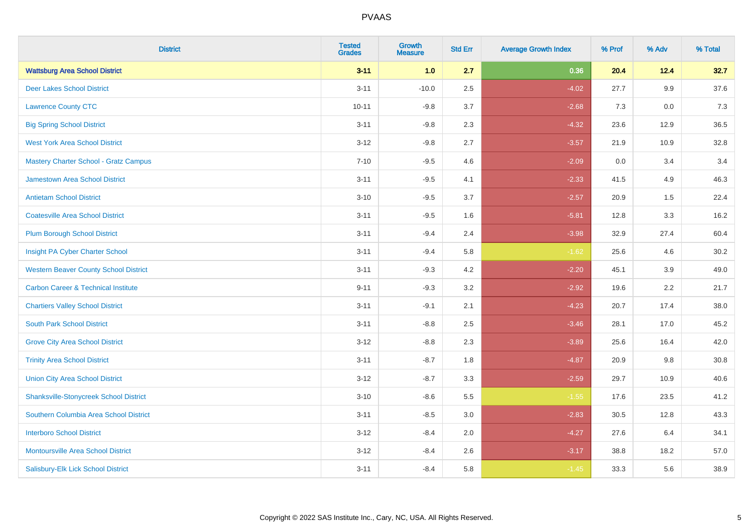| <b>District</b>                                | <b>Tested</b><br><b>Grades</b> | <b>Growth</b><br><b>Measure</b> | <b>Std Err</b> | <b>Average Growth Index</b> | % Prof | % Adv | % Total |
|------------------------------------------------|--------------------------------|---------------------------------|----------------|-----------------------------|--------|-------|---------|
| <b>Wattsburg Area School District</b>          | $3 - 11$                       | 1.0                             | 2.7            | 0.36                        | 20.4   | 12.4  | 32.7    |
| <b>Deer Lakes School District</b>              | $3 - 11$                       | $-10.0$                         | 2.5            | $-4.02$                     | 27.7   | 9.9   | 37.6    |
| <b>Lawrence County CTC</b>                     | $10 - 11$                      | $-9.8$                          | 3.7            | $-2.68$                     | 7.3    | 0.0   | 7.3     |
| <b>Big Spring School District</b>              | $3 - 11$                       | $-9.8$                          | 2.3            | $-4.32$                     | 23.6   | 12.9  | 36.5    |
| <b>West York Area School District</b>          | $3 - 12$                       | $-9.8$                          | 2.7            | $-3.57$                     | 21.9   | 10.9  | 32.8    |
| <b>Mastery Charter School - Gratz Campus</b>   | $7 - 10$                       | $-9.5$                          | 4.6            | $-2.09$                     | 0.0    | 3.4   | 3.4     |
| Jamestown Area School District                 | $3 - 11$                       | $-9.5$                          | 4.1            | $-2.33$                     | 41.5   | 4.9   | 46.3    |
| <b>Antietam School District</b>                | $3 - 10$                       | $-9.5$                          | 3.7            | $-2.57$                     | 20.9   | 1.5   | 22.4    |
| <b>Coatesville Area School District</b>        | $3 - 11$                       | $-9.5$                          | 1.6            | $-5.81$                     | 12.8   | 3.3   | 16.2    |
| <b>Plum Borough School District</b>            | $3 - 11$                       | $-9.4$                          | 2.4            | $-3.98$                     | 32.9   | 27.4  | 60.4    |
| Insight PA Cyber Charter School                | $3 - 11$                       | $-9.4$                          | 5.8            | $-1.62$                     | 25.6   | 4.6   | 30.2    |
| <b>Western Beaver County School District</b>   | $3 - 11$                       | $-9.3$                          | 4.2            | $-2.20$                     | 45.1   | 3.9   | 49.0    |
| <b>Carbon Career &amp; Technical Institute</b> | $9 - 11$                       | $-9.3$                          | 3.2            | $-2.92$                     | 19.6   | 2.2   | 21.7    |
| <b>Chartiers Valley School District</b>        | $3 - 11$                       | $-9.1$                          | 2.1            | $-4.23$                     | 20.7   | 17.4  | 38.0    |
| <b>South Park School District</b>              | $3 - 11$                       | $-8.8$                          | 2.5            | $-3.46$                     | 28.1   | 17.0  | 45.2    |
| <b>Grove City Area School District</b>         | $3 - 12$                       | $-8.8$                          | 2.3            | $-3.89$                     | 25.6   | 16.4  | 42.0    |
| <b>Trinity Area School District</b>            | $3 - 11$                       | $-8.7$                          | 1.8            | $-4.87$                     | 20.9   | 9.8   | 30.8    |
| <b>Union City Area School District</b>         | $3 - 12$                       | $-8.7$                          | 3.3            | $-2.59$                     | 29.7   | 10.9  | 40.6    |
| <b>Shanksville-Stonycreek School District</b>  | $3 - 10$                       | $-8.6$                          | 5.5            | $-1.55$                     | 17.6   | 23.5  | 41.2    |
| Southern Columbia Area School District         | $3 - 11$                       | $-8.5$                          | 3.0            | $-2.83$                     | 30.5   | 12.8  | 43.3    |
| <b>Interboro School District</b>               | $3 - 12$                       | $-8.4$                          | 2.0            | $-4.27$                     | 27.6   | 6.4   | 34.1    |
| <b>Montoursville Area School District</b>      | $3 - 12$                       | $-8.4$                          | 2.6            | $-3.17$                     | 38.8   | 18.2  | 57.0    |
| Salisbury-Elk Lick School District             | $3 - 11$                       | $-8.4$                          | 5.8            | $-1.45$                     | 33.3   | 5.6   | 38.9    |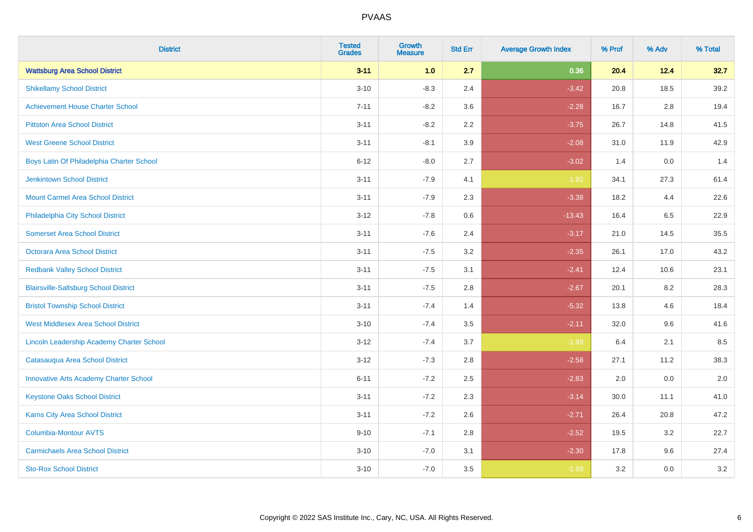| <b>District</b>                               | <b>Tested</b><br><b>Grades</b> | <b>Growth</b><br><b>Measure</b> | <b>Std Err</b> | <b>Average Growth Index</b> | % Prof | % Adv   | % Total |
|-----------------------------------------------|--------------------------------|---------------------------------|----------------|-----------------------------|--------|---------|---------|
| <b>Wattsburg Area School District</b>         | $3 - 11$                       | 1.0                             | 2.7            | 0.36                        | 20.4   | 12.4    | 32.7    |
| <b>Shikellamy School District</b>             | $3 - 10$                       | $-8.3$                          | 2.4            | $-3.42$                     | 20.8   | 18.5    | 39.2    |
| <b>Achievement House Charter School</b>       | $7 - 11$                       | $-8.2$                          | 3.6            | $-2.28$                     | 16.7   | 2.8     | 19.4    |
| <b>Pittston Area School District</b>          | $3 - 11$                       | $-8.2$                          | 2.2            | $-3.75$                     | 26.7   | 14.8    | 41.5    |
| <b>West Greene School District</b>            | $3 - 11$                       | $-8.1$                          | 3.9            | $-2.08$                     | 31.0   | 11.9    | 42.9    |
| Boys Latin Of Philadelphia Charter School     | $6 - 12$                       | $-8.0$                          | 2.7            | $-3.02$                     | 1.4    | 0.0     | 1.4     |
| <b>Jenkintown School District</b>             | $3 - 11$                       | $-7.9$                          | 4.1            | $-1.92$                     | 34.1   | 27.3    | 61.4    |
| <b>Mount Carmel Area School District</b>      | $3 - 11$                       | $-7.9$                          | 2.3            | $-3.38$                     | 18.2   | 4.4     | 22.6    |
| Philadelphia City School District             | $3 - 12$                       | $-7.8$                          | 0.6            | $-13.43$                    | 16.4   | 6.5     | 22.9    |
| <b>Somerset Area School District</b>          | $3 - 11$                       | $-7.6$                          | 2.4            | $-3.17$                     | 21.0   | 14.5    | 35.5    |
| <b>Octorara Area School District</b>          | $3 - 11$                       | $-7.5$                          | 3.2            | $-2.35$                     | 26.1   | 17.0    | 43.2    |
| <b>Redbank Valley School District</b>         | $3 - 11$                       | $-7.5$                          | 3.1            | $-2.41$                     | 12.4   | 10.6    | 23.1    |
| <b>Blairsville-Saltsburg School District</b>  | $3 - 11$                       | $-7.5$                          | 2.8            | $-2.67$                     | 20.1   | $8.2\,$ | 28.3    |
| <b>Bristol Township School District</b>       | $3 - 11$                       | $-7.4$                          | 1.4            | $-5.32$                     | 13.8   | 4.6     | 18.4    |
| <b>West Middlesex Area School District</b>    | $3 - 10$                       | $-7.4$                          | 3.5            | $-2.11$                     | 32.0   | 9.6     | 41.6    |
| Lincoln Leadership Academy Charter School     | $3 - 12$                       | $-7.4$                          | 3.7            | $-1.99$                     | 6.4    | 2.1     | 8.5     |
| Catasauqua Area School District               | $3 - 12$                       | $-7.3$                          | 2.8            | $-2.58$                     | 27.1   | 11.2    | 38.3    |
| <b>Innovative Arts Academy Charter School</b> | $6 - 11$                       | $-7.2$                          | 2.5            | $-2.83$                     | 2.0    | 0.0     | 2.0     |
| <b>Keystone Oaks School District</b>          | $3 - 11$                       | $-7.2$                          | 2.3            | $-3.14$                     | 30.0   | 11.1    | 41.0    |
| Karns City Area School District               | $3 - 11$                       | $-7.2$                          | 2.6            | $-2.71$                     | 26.4   | 20.8    | 47.2    |
| <b>Columbia-Montour AVTS</b>                  | $9 - 10$                       | $-7.1$                          | 2.8            | $-2.52$                     | 19.5   | 3.2     | 22.7    |
| <b>Carmichaels Area School District</b>       | $3 - 10$                       | $-7.0$                          | 3.1            | $-2.30$                     | 17.8   | 9.6     | 27.4    |
| <b>Sto-Rox School District</b>                | $3 - 10$                       | $-7.0$                          | 3.5            | $-1.99$                     | 3.2    | 0.0     | 3.2     |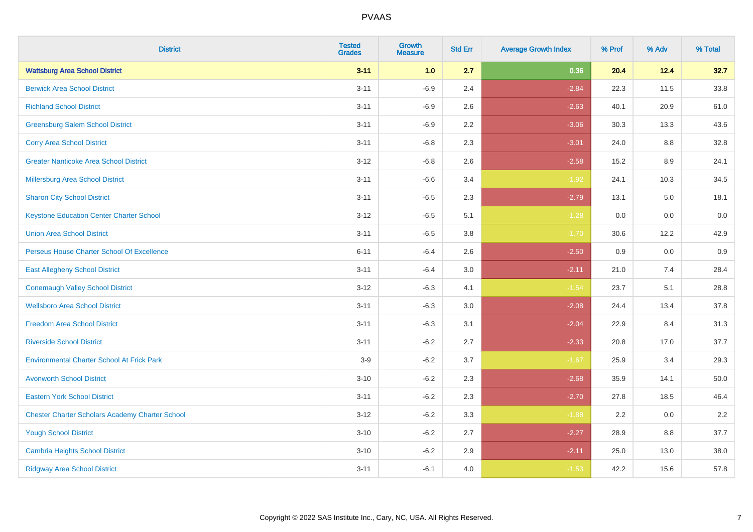| <b>District</b>                                        | <b>Tested</b><br><b>Grades</b> | <b>Growth</b><br><b>Measure</b> | <b>Std Err</b> | <b>Average Growth Index</b> | % Prof | % Adv   | % Total  |
|--------------------------------------------------------|--------------------------------|---------------------------------|----------------|-----------------------------|--------|---------|----------|
| <b>Wattsburg Area School District</b>                  | $3 - 11$                       | 1.0                             | 2.7            | 0.36                        | 20.4   | 12.4    | 32.7     |
| <b>Berwick Area School District</b>                    | $3 - 11$                       | $-6.9$                          | 2.4            | $-2.84$                     | 22.3   | 11.5    | 33.8     |
| <b>Richland School District</b>                        | $3 - 11$                       | $-6.9$                          | 2.6            | $-2.63$                     | 40.1   | 20.9    | 61.0     |
| <b>Greensburg Salem School District</b>                | $3 - 11$                       | $-6.9$                          | 2.2            | $-3.06$                     | 30.3   | 13.3    | 43.6     |
| <b>Corry Area School District</b>                      | $3 - 11$                       | $-6.8$                          | 2.3            | $-3.01$                     | 24.0   | 8.8     | 32.8     |
| <b>Greater Nanticoke Area School District</b>          | $3 - 12$                       | $-6.8$                          | 2.6            | $-2.58$                     | 15.2   | $8.9\,$ | 24.1     |
| Millersburg Area School District                       | $3 - 11$                       | $-6.6$                          | 3.4            | $-1.92$                     | 24.1   | 10.3    | 34.5     |
| <b>Sharon City School District</b>                     | $3 - 11$                       | $-6.5$                          | 2.3            | $-2.79$                     | 13.1   | 5.0     | 18.1     |
| <b>Keystone Education Center Charter School</b>        | $3 - 12$                       | $-6.5$                          | 5.1            | $-1.28$                     | 0.0    | 0.0     | $0.0\,$  |
| <b>Union Area School District</b>                      | $3 - 11$                       | $-6.5$                          | 3.8            | $-1.70$                     | 30.6   | 12.2    | 42.9     |
| Perseus House Charter School Of Excellence             | $6 - 11$                       | $-6.4$                          | 2.6            | $-2.50$                     | 0.9    | 0.0     | 0.9      |
| <b>East Allegheny School District</b>                  | $3 - 11$                       | $-6.4$                          | 3.0            | $-2.11$                     | 21.0   | 7.4     | 28.4     |
| <b>Conemaugh Valley School District</b>                | $3 - 12$                       | $-6.3$                          | 4.1            | $-1.54$                     | 23.7   | 5.1     | 28.8     |
| <b>Wellsboro Area School District</b>                  | $3 - 11$                       | $-6.3$                          | 3.0            | $-2.08$                     | 24.4   | 13.4    | 37.8     |
| <b>Freedom Area School District</b>                    | $3 - 11$                       | $-6.3$                          | 3.1            | $-2.04$                     | 22.9   | 8.4     | 31.3     |
| <b>Riverside School District</b>                       | $3 - 11$                       | $-6.2$                          | 2.7            | $-2.33$                     | 20.8   | 17.0    | 37.7     |
| <b>Environmental Charter School At Frick Park</b>      | $3-9$                          | $-6.2$                          | 3.7            | $-1.67$                     | 25.9   | 3.4     | 29.3     |
| <b>Avonworth School District</b>                       | $3 - 10$                       | $-6.2$                          | 2.3            | $-2.68$                     | 35.9   | 14.1    | $50.0\,$ |
| <b>Eastern York School District</b>                    | $3 - 11$                       | $-6.2$                          | 2.3            | $-2.70$                     | 27.8   | 18.5    | 46.4     |
| <b>Chester Charter Scholars Academy Charter School</b> | $3 - 12$                       | $-6.2$                          | 3.3            | $-1.88$                     | 2.2    | 0.0     | 2.2      |
| <b>Yough School District</b>                           | $3 - 10$                       | $-6.2$                          | 2.7            | $-2.27$                     | 28.9   | 8.8     | 37.7     |
| <b>Cambria Heights School District</b>                 | $3 - 10$                       | $-6.2$                          | 2.9            | $-2.11$                     | 25.0   | 13.0    | 38.0     |
| <b>Ridgway Area School District</b>                    | $3 - 11$                       | $-6.1$                          | 4.0            | $-1.53$                     | 42.2   | 15.6    | 57.8     |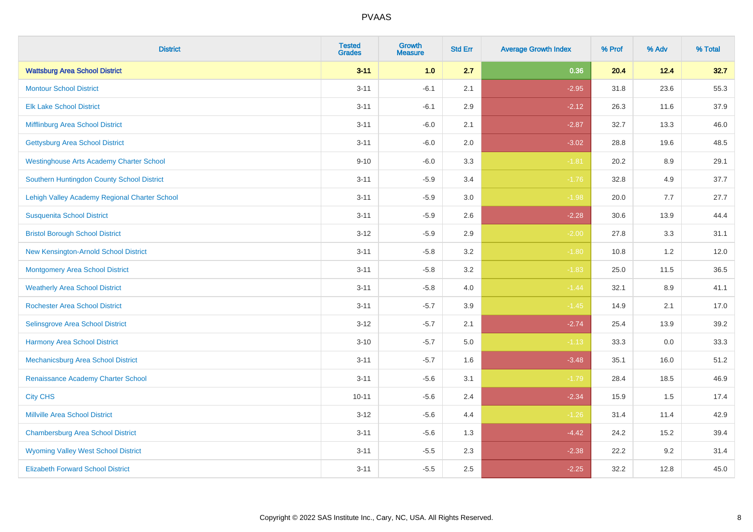| <b>District</b>                                 | <b>Tested</b><br><b>Grades</b> | <b>Growth</b><br><b>Measure</b> | <b>Std Err</b> | <b>Average Growth Index</b> | % Prof | % Adv   | % Total |
|-------------------------------------------------|--------------------------------|---------------------------------|----------------|-----------------------------|--------|---------|---------|
| <b>Wattsburg Area School District</b>           | $3 - 11$                       | 1.0                             | 2.7            | 0.36                        | 20.4   | 12.4    | 32.7    |
| <b>Montour School District</b>                  | $3 - 11$                       | $-6.1$                          | 2.1            | $-2.95$                     | 31.8   | 23.6    | 55.3    |
| <b>Elk Lake School District</b>                 | $3 - 11$                       | $-6.1$                          | 2.9            | $-2.12$                     | 26.3   | 11.6    | 37.9    |
| Mifflinburg Area School District                | $3 - 11$                       | $-6.0$                          | 2.1            | $-2.87$                     | 32.7   | 13.3    | 46.0    |
| <b>Gettysburg Area School District</b>          | $3 - 11$                       | $-6.0$                          | 2.0            | $-3.02$                     | 28.8   | 19.6    | 48.5    |
| <b>Westinghouse Arts Academy Charter School</b> | $9 - 10$                       | $-6.0$                          | 3.3            | $-1.81$                     | 20.2   | $8.9\,$ | 29.1    |
| Southern Huntingdon County School District      | $3 - 11$                       | $-5.9$                          | 3.4            | $-1.76$                     | 32.8   | 4.9     | 37.7    |
| Lehigh Valley Academy Regional Charter School   | $3 - 11$                       | $-5.9$                          | 3.0            | $-1.98$                     | 20.0   | 7.7     | 27.7    |
| <b>Susquenita School District</b>               | $3 - 11$                       | $-5.9$                          | 2.6            | $-2.28$                     | 30.6   | 13.9    | 44.4    |
| <b>Bristol Borough School District</b>          | $3 - 12$                       | $-5.9$                          | 2.9            | $-2.00$                     | 27.8   | 3.3     | 31.1    |
| New Kensington-Arnold School District           | $3 - 11$                       | $-5.8$                          | 3.2            | $-1.80$                     | 10.8   | 1.2     | 12.0    |
| <b>Montgomery Area School District</b>          | $3 - 11$                       | $-5.8$                          | 3.2            | $-1.83$                     | 25.0   | 11.5    | 36.5    |
| <b>Weatherly Area School District</b>           | $3 - 11$                       | $-5.8$                          | 4.0            | $-1.44$                     | 32.1   | 8.9     | 41.1    |
| <b>Rochester Area School District</b>           | $3 - 11$                       | $-5.7$                          | 3.9            | $-1.45$                     | 14.9   | 2.1     | 17.0    |
| <b>Selinsgrove Area School District</b>         | $3 - 12$                       | $-5.7$                          | 2.1            | $-2.74$                     | 25.4   | 13.9    | 39.2    |
| <b>Harmony Area School District</b>             | $3 - 10$                       | $-5.7$                          | 5.0            | $-1.13$                     | 33.3   | $0.0\,$ | 33.3    |
| Mechanicsburg Area School District              | $3 - 11$                       | $-5.7$                          | 1.6            | $-3.48$                     | 35.1   | 16.0    | 51.2    |
| Renaissance Academy Charter School              | $3 - 11$                       | $-5.6$                          | 3.1            | $-1.79$                     | 28.4   | 18.5    | 46.9    |
| <b>City CHS</b>                                 | $10 - 11$                      | $-5.6$                          | 2.4            | $-2.34$                     | 15.9   | 1.5     | 17.4    |
| <b>Millville Area School District</b>           | $3 - 12$                       | $-5.6$                          | 4.4            | $-1.26$                     | 31.4   | 11.4    | 42.9    |
| <b>Chambersburg Area School District</b>        | $3 - 11$                       | $-5.6$                          | 1.3            | $-4.42$                     | 24.2   | 15.2    | 39.4    |
| <b>Wyoming Valley West School District</b>      | $3 - 11$                       | $-5.5$                          | 2.3            | $-2.38$                     | 22.2   | 9.2     | 31.4    |
| <b>Elizabeth Forward School District</b>        | $3 - 11$                       | $-5.5$                          | 2.5            | $-2.25$                     | 32.2   | 12.8    | 45.0    |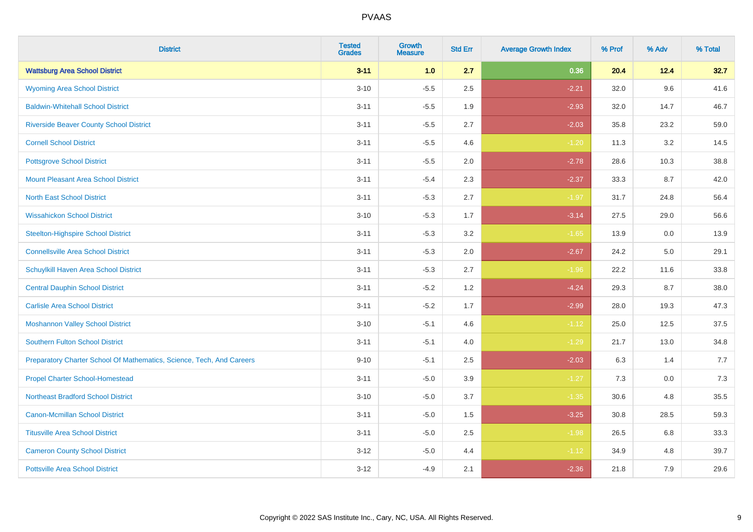| <b>District</b>                                                       | <b>Tested</b><br><b>Grades</b> | <b>Growth</b><br><b>Measure</b> | <b>Std Err</b> | <b>Average Growth Index</b> | % Prof | % Adv | % Total |
|-----------------------------------------------------------------------|--------------------------------|---------------------------------|----------------|-----------------------------|--------|-------|---------|
| <b>Wattsburg Area School District</b>                                 | $3 - 11$                       | 1.0                             | 2.7            | 0.36                        | 20.4   | 12.4  | 32.7    |
| <b>Wyoming Area School District</b>                                   | $3 - 10$                       | $-5.5$                          | 2.5            | $-2.21$                     | 32.0   | 9.6   | 41.6    |
| <b>Baldwin-Whitehall School District</b>                              | $3 - 11$                       | $-5.5$                          | 1.9            | $-2.93$                     | 32.0   | 14.7  | 46.7    |
| <b>Riverside Beaver County School District</b>                        | $3 - 11$                       | $-5.5$                          | 2.7            | $-2.03$                     | 35.8   | 23.2  | 59.0    |
| <b>Cornell School District</b>                                        | $3 - 11$                       | $-5.5$                          | 4.6            | $-1.20$                     | 11.3   | 3.2   | 14.5    |
| <b>Pottsgrove School District</b>                                     | $3 - 11$                       | $-5.5$                          | 2.0            | $-2.78$                     | 28.6   | 10.3  | 38.8    |
| Mount Pleasant Area School District                                   | $3 - 11$                       | $-5.4$                          | 2.3            | $-2.37$                     | 33.3   | 8.7   | 42.0    |
| <b>North East School District</b>                                     | $3 - 11$                       | $-5.3$                          | 2.7            | $-1.97$                     | 31.7   | 24.8  | 56.4    |
| <b>Wissahickon School District</b>                                    | $3 - 10$                       | $-5.3$                          | 1.7            | $-3.14$                     | 27.5   | 29.0  | 56.6    |
| <b>Steelton-Highspire School District</b>                             | $3 - 11$                       | $-5.3$                          | 3.2            | $-1.65$                     | 13.9   | 0.0   | 13.9    |
| <b>Connellsville Area School District</b>                             | $3 - 11$                       | $-5.3$                          | 2.0            | $-2.67$                     | 24.2   | 5.0   | 29.1    |
| <b>Schuylkill Haven Area School District</b>                          | $3 - 11$                       | $-5.3$                          | 2.7            | $-1.96$                     | 22.2   | 11.6  | 33.8    |
| <b>Central Dauphin School District</b>                                | $3 - 11$                       | $-5.2$                          | 1.2            | $-4.24$                     | 29.3   | 8.7   | 38.0    |
| <b>Carlisle Area School District</b>                                  | $3 - 11$                       | $-5.2$                          | 1.7            | $-2.99$                     | 28.0   | 19.3  | 47.3    |
| <b>Moshannon Valley School District</b>                               | $3 - 10$                       | $-5.1$                          | 4.6            | $-1.12$                     | 25.0   | 12.5  | 37.5    |
| <b>Southern Fulton School District</b>                                | $3 - 11$                       | $-5.1$                          | 4.0            | $-1.29$                     | 21.7   | 13.0  | 34.8    |
| Preparatory Charter School Of Mathematics, Science, Tech, And Careers | $9 - 10$                       | $-5.1$                          | 2.5            | $-2.03$                     | 6.3    | 1.4   | 7.7     |
| <b>Propel Charter School-Homestead</b>                                | $3 - 11$                       | $-5.0$                          | 3.9            | $-1.27$                     | 7.3    | 0.0   | 7.3     |
| <b>Northeast Bradford School District</b>                             | $3 - 10$                       | $-5.0$                          | 3.7            | $-1.35$                     | 30.6   | 4.8   | 35.5    |
| <b>Canon-Mcmillan School District</b>                                 | $3 - 11$                       | $-5.0$                          | 1.5            | $-3.25$                     | 30.8   | 28.5  | 59.3    |
| <b>Titusville Area School District</b>                                | $3 - 11$                       | $-5.0$                          | 2.5            | $-1.98$                     | 26.5   | 6.8   | 33.3    |
| <b>Cameron County School District</b>                                 | $3-12$                         | $-5.0$                          | 4.4            | $-1.12$                     | 34.9   | 4.8   | 39.7    |
| <b>Pottsville Area School District</b>                                | $3-12$                         | $-4.9$                          | 2.1            | $-2.36$                     | 21.8   | 7.9   | 29.6    |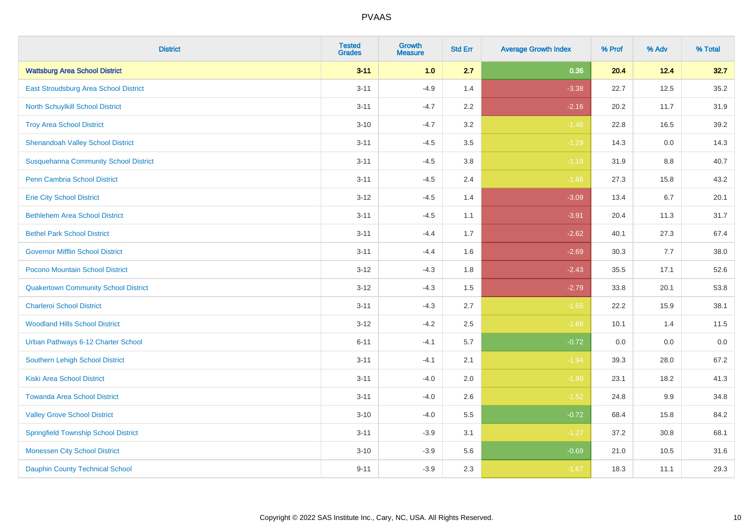| <b>District</b>                              | <b>Tested</b><br><b>Grades</b> | <b>Growth</b><br><b>Measure</b> | <b>Std Err</b> | <b>Average Growth Index</b> | % Prof | % Adv | % Total |
|----------------------------------------------|--------------------------------|---------------------------------|----------------|-----------------------------|--------|-------|---------|
| <b>Wattsburg Area School District</b>        | $3 - 11$                       | 1.0                             | 2.7            | 0.36                        | 20.4   | 12.4  | 32.7    |
| East Stroudsburg Area School District        | $3 - 11$                       | $-4.9$                          | 1.4            | $-3.38$                     | 22.7   | 12.5  | 35.2    |
| <b>North Schuylkill School District</b>      | $3 - 11$                       | $-4.7$                          | 2.2            | $-2.16$                     | 20.2   | 11.7  | 31.9    |
| <b>Troy Area School District</b>             | $3 - 10$                       | $-4.7$                          | 3.2            | $-1.46$                     | 22.8   | 16.5  | 39.2    |
| <b>Shenandoah Valley School District</b>     | $3 - 11$                       | $-4.5$                          | 3.5            | $-1.29$                     | 14.3   | 0.0   | 14.3    |
| <b>Susquehanna Community School District</b> | $3 - 11$                       | $-4.5$                          | 3.8            | $-1.19$                     | 31.9   | 8.8   | 40.7    |
| <b>Penn Cambria School District</b>          | $3 - 11$                       | $-4.5$                          | 2.4            | $-1.86$                     | 27.3   | 15.8  | 43.2    |
| <b>Erie City School District</b>             | $3 - 12$                       | $-4.5$                          | 1.4            | $-3.09$                     | 13.4   | 6.7   | 20.1    |
| <b>Bethlehem Area School District</b>        | $3 - 11$                       | $-4.5$                          | 1.1            | $-3.91$                     | 20.4   | 11.3  | 31.7    |
| <b>Bethel Park School District</b>           | $3 - 11$                       | $-4.4$                          | 1.7            | $-2.62$                     | 40.1   | 27.3  | 67.4    |
| <b>Governor Mifflin School District</b>      | $3 - 11$                       | $-4.4$                          | 1.6            | $-2.69$                     | 30.3   | 7.7   | 38.0    |
| Pocono Mountain School District              | $3 - 12$                       | $-4.3$                          | 1.8            | $-2.43$                     | 35.5   | 17.1  | 52.6    |
| <b>Quakertown Community School District</b>  | $3 - 12$                       | $-4.3$                          | 1.5            | $-2.79$                     | 33.8   | 20.1  | 53.8    |
| <b>Charleroi School District</b>             | $3 - 11$                       | $-4.3$                          | 2.7            | $-1.55$                     | 22.2   | 15.9  | 38.1    |
| <b>Woodland Hills School District</b>        | $3 - 12$                       | $-4.2$                          | 2.5            | $-1.66$                     | 10.1   | 1.4   | 11.5    |
| Urban Pathways 6-12 Charter School           | $6 - 11$                       | $-4.1$                          | 5.7            | $-0.72$                     | 0.0    | 0.0   | 0.0     |
| <b>Southern Lehigh School District</b>       | $3 - 11$                       | $-4.1$                          | 2.1            | $-1.94$                     | 39.3   | 28.0  | 67.2    |
| <b>Kiski Area School District</b>            | $3 - 11$                       | $-4.0$                          | 2.0            | $-1.99$                     | 23.1   | 18.2  | 41.3    |
| <b>Towanda Area School District</b>          | $3 - 11$                       | $-4.0$                          | 2.6            | $-1.52$                     | 24.8   | 9.9   | 34.8    |
| <b>Valley Grove School District</b>          | $3 - 10$                       | $-4.0$                          | 5.5            | $-0.72$                     | 68.4   | 15.8  | 84.2    |
| <b>Springfield Township School District</b>  | $3 - 11$                       | $-3.9$                          | 3.1            | $-1.27$                     | 37.2   | 30.8  | 68.1    |
| <b>Monessen City School District</b>         | $3 - 10$                       | $-3.9$                          | 5.6            | $-0.69$                     | 21.0   | 10.5  | 31.6    |
| <b>Dauphin County Technical School</b>       | $9 - 11$                       | $-3.9$                          | 2.3            | $-1.67$                     | 18.3   | 11.1  | 29.3    |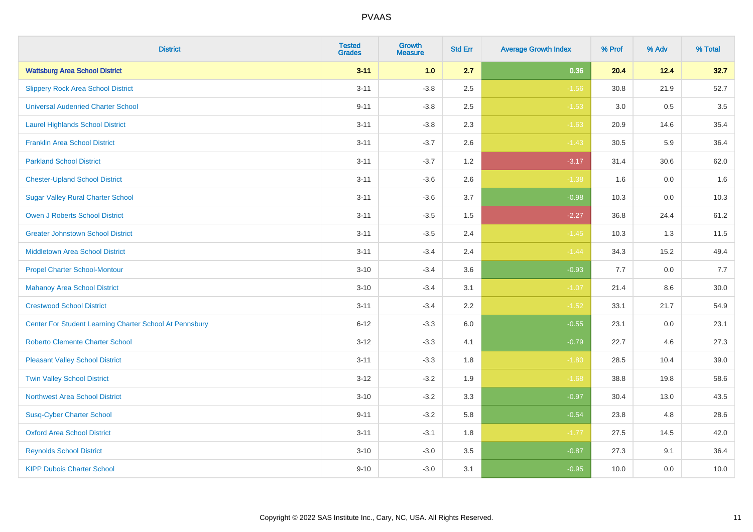| <b>District</b>                                         | <b>Tested</b><br><b>Grades</b> | <b>Growth</b><br><b>Measure</b> | <b>Std Err</b> | <b>Average Growth Index</b> | % Prof | % Adv   | % Total  |
|---------------------------------------------------------|--------------------------------|---------------------------------|----------------|-----------------------------|--------|---------|----------|
| <b>Wattsburg Area School District</b>                   | $3 - 11$                       | 1.0                             | 2.7            | 0.36                        | 20.4   | 12.4    | 32.7     |
| <b>Slippery Rock Area School District</b>               | $3 - 11$                       | $-3.8$                          | 2.5            | $-1.56$                     | 30.8   | 21.9    | 52.7     |
| <b>Universal Audenried Charter School</b>               | $9 - 11$                       | $-3.8$                          | 2.5            | $-1.53$                     | 3.0    | 0.5     | 3.5      |
| <b>Laurel Highlands School District</b>                 | $3 - 11$                       | $-3.8$                          | 2.3            | $-1.63$                     | 20.9   | 14.6    | 35.4     |
| <b>Franklin Area School District</b>                    | $3 - 11$                       | $-3.7$                          | 2.6            | $-1.43$                     | 30.5   | 5.9     | 36.4     |
| <b>Parkland School District</b>                         | $3 - 11$                       | $-3.7$                          | 1.2            | $-3.17$                     | 31.4   | 30.6    | 62.0     |
| <b>Chester-Upland School District</b>                   | $3 - 11$                       | $-3.6$                          | 2.6            | $-1.38$                     | 1.6    | 0.0     | 1.6      |
| <b>Sugar Valley Rural Charter School</b>                | $3 - 11$                       | $-3.6$                          | 3.7            | $-0.98$                     | 10.3   | 0.0     | 10.3     |
| <b>Owen J Roberts School District</b>                   | $3 - 11$                       | $-3.5$                          | 1.5            | $-2.27$                     | 36.8   | 24.4    | 61.2     |
| <b>Greater Johnstown School District</b>                | $3 - 11$                       | $-3.5$                          | 2.4            | $-1.45$                     | 10.3   | 1.3     | 11.5     |
| <b>Middletown Area School District</b>                  | $3 - 11$                       | $-3.4$                          | 2.4            | $-1.44$                     | 34.3   | 15.2    | 49.4     |
| <b>Propel Charter School-Montour</b>                    | $3 - 10$                       | $-3.4$                          | 3.6            | $-0.93$                     | 7.7    | 0.0     | 7.7      |
| <b>Mahanoy Area School District</b>                     | $3 - 10$                       | $-3.4$                          | 3.1            | $-1.07$                     | 21.4   | $8.6\,$ | $30.0\,$ |
| <b>Crestwood School District</b>                        | $3 - 11$                       | $-3.4$                          | 2.2            | $-1.52$                     | 33.1   | 21.7    | 54.9     |
| Center For Student Learning Charter School At Pennsbury | $6 - 12$                       | $-3.3$                          | 6.0            | $-0.55$                     | 23.1   | 0.0     | 23.1     |
| <b>Roberto Clemente Charter School</b>                  | $3 - 12$                       | $-3.3$                          | 4.1            | $-0.79$                     | 22.7   | 4.6     | 27.3     |
| <b>Pleasant Valley School District</b>                  | $3 - 11$                       | $-3.3$                          | 1.8            | $-1.80$                     | 28.5   | 10.4    | 39.0     |
| <b>Twin Valley School District</b>                      | $3 - 12$                       | $-3.2$                          | 1.9            | $-1.68$                     | 38.8   | 19.8    | 58.6     |
| <b>Northwest Area School District</b>                   | $3 - 10$                       | $-3.2$                          | 3.3            | $-0.97$                     | 30.4   | 13.0    | 43.5     |
| <b>Susq-Cyber Charter School</b>                        | $9 - 11$                       | $-3.2$                          | 5.8            | $-0.54$                     | 23.8   | 4.8     | 28.6     |
| <b>Oxford Area School District</b>                      | $3 - 11$                       | $-3.1$                          | 1.8            | $-1.77$                     | 27.5   | 14.5    | 42.0     |
| <b>Reynolds School District</b>                         | $3 - 10$                       | $-3.0$                          | 3.5            | $-0.87$                     | 27.3   | 9.1     | 36.4     |
| <b>KIPP Dubois Charter School</b>                       | $9 - 10$                       | $-3.0$                          | 3.1            | $-0.95$                     | 10.0   | 0.0     | 10.0     |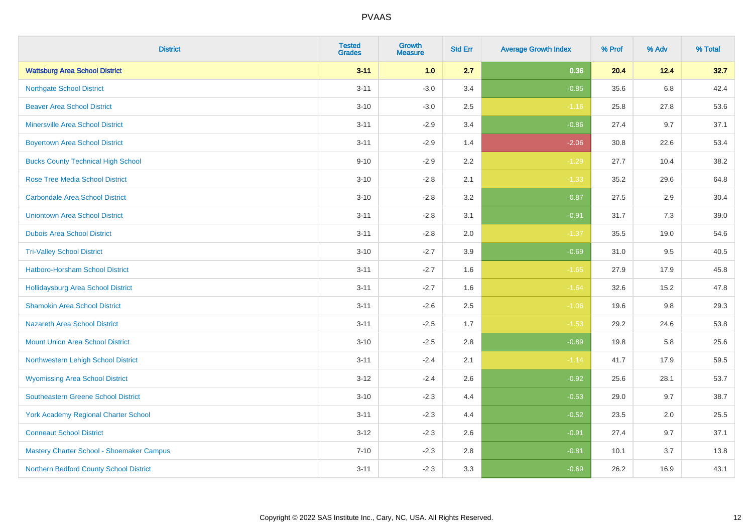| <b>District</b>                             | <b>Tested</b><br><b>Grades</b> | <b>Growth</b><br><b>Measure</b> | <b>Std Err</b> | <b>Average Growth Index</b> | % Prof | % Adv   | % Total |
|---------------------------------------------|--------------------------------|---------------------------------|----------------|-----------------------------|--------|---------|---------|
| <b>Wattsburg Area School District</b>       | $3 - 11$                       | 1.0                             | 2.7            | 0.36                        | 20.4   | 12.4    | 32.7    |
| <b>Northgate School District</b>            | $3 - 11$                       | $-3.0$                          | 3.4            | $-0.85$                     | 35.6   | $6.8\,$ | 42.4    |
| <b>Beaver Area School District</b>          | $3 - 10$                       | $-3.0$                          | 2.5            | $-1.16$                     | 25.8   | 27.8    | 53.6    |
| <b>Minersville Area School District</b>     | $3 - 11$                       | $-2.9$                          | 3.4            | $-0.86$                     | 27.4   | 9.7     | 37.1    |
| <b>Boyertown Area School District</b>       | $3 - 11$                       | $-2.9$                          | 1.4            | $-2.06$                     | 30.8   | 22.6    | 53.4    |
| <b>Bucks County Technical High School</b>   | $9 - 10$                       | $-2.9$                          | 2.2            | $-1.29$                     | 27.7   | 10.4    | 38.2    |
| <b>Rose Tree Media School District</b>      | $3 - 10$                       | $-2.8$                          | 2.1            | $-1.33$                     | 35.2   | 29.6    | 64.8    |
| <b>Carbondale Area School District</b>      | $3 - 10$                       | $-2.8$                          | 3.2            | $-0.87$                     | 27.5   | 2.9     | 30.4    |
| <b>Uniontown Area School District</b>       | $3 - 11$                       | $-2.8$                          | 3.1            | $-0.91$                     | 31.7   | 7.3     | 39.0    |
| <b>Dubois Area School District</b>          | $3 - 11$                       | $-2.8$                          | 2.0            | $-1.37$                     | 35.5   | 19.0    | 54.6    |
| <b>Tri-Valley School District</b>           | $3 - 10$                       | $-2.7$                          | 3.9            | $-0.69$                     | 31.0   | 9.5     | 40.5    |
| Hatboro-Horsham School District             | $3 - 11$                       | $-2.7$                          | 1.6            | $-1.65$                     | 27.9   | 17.9    | 45.8    |
| Hollidaysburg Area School District          | $3 - 11$                       | $-2.7$                          | 1.6            | $-1.64$                     | 32.6   | 15.2    | 47.8    |
| <b>Shamokin Area School District</b>        | $3 - 11$                       | $-2.6$                          | 2.5            | $-1.06$                     | 19.6   | 9.8     | 29.3    |
| <b>Nazareth Area School District</b>        | $3 - 11$                       | $-2.5$                          | 1.7            | $-1.53$                     | 29.2   | 24.6    | 53.8    |
| <b>Mount Union Area School District</b>     | $3 - 10$                       | $-2.5$                          | 2.8            | $-0.89$                     | 19.8   | 5.8     | 25.6    |
| Northwestern Lehigh School District         | $3 - 11$                       | $-2.4$                          | 2.1            | $-1.14$                     | 41.7   | 17.9    | 59.5    |
| <b>Wyomissing Area School District</b>      | $3-12$                         | $-2.4$                          | 2.6            | $-0.92$                     | 25.6   | 28.1    | 53.7    |
| <b>Southeastern Greene School District</b>  | $3 - 10$                       | $-2.3$                          | 4.4            | $-0.53$                     | 29.0   | 9.7     | 38.7    |
| <b>York Academy Regional Charter School</b> | $3 - 11$                       | $-2.3$                          | 4.4            | $-0.52$                     | 23.5   | 2.0     | 25.5    |
| <b>Conneaut School District</b>             | $3 - 12$                       | $-2.3$                          | 2.6            | $-0.91$                     | 27.4   | 9.7     | 37.1    |
| Mastery Charter School - Shoemaker Campus   | $7 - 10$                       | $-2.3$                          | 2.8            | $-0.81$                     | 10.1   | 3.7     | 13.8    |
| Northern Bedford County School District     | $3 - 11$                       | $-2.3$                          | 3.3            | $-0.69$                     | 26.2   | 16.9    | 43.1    |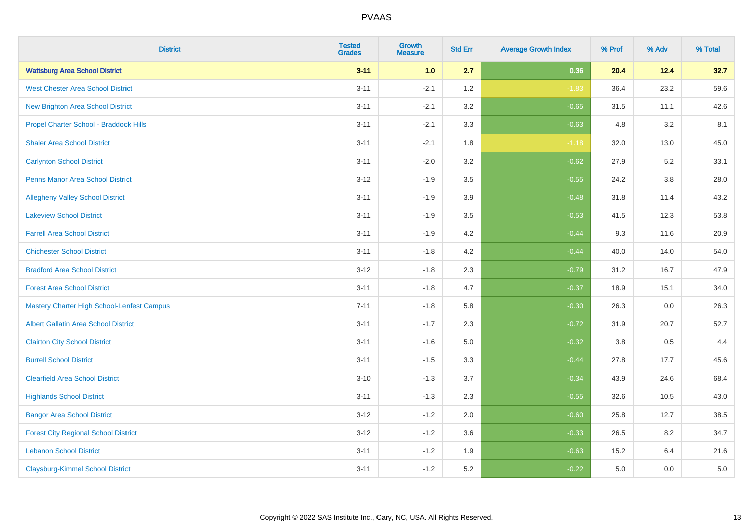| <b>District</b>                                   | <b>Tested</b><br><b>Grades</b> | <b>Growth</b><br><b>Measure</b> | <b>Std Err</b> | <b>Average Growth Index</b> | % Prof | % Adv   | % Total |
|---------------------------------------------------|--------------------------------|---------------------------------|----------------|-----------------------------|--------|---------|---------|
| <b>Wattsburg Area School District</b>             | $3 - 11$                       | 1.0                             | 2.7            | 0.36                        | 20.4   | 12.4    | 32.7    |
| <b>West Chester Area School District</b>          | $3 - 11$                       | $-2.1$                          | 1.2            | $-1.83$                     | 36.4   | 23.2    | 59.6    |
| New Brighton Area School District                 | $3 - 11$                       | $-2.1$                          | 3.2            | $-0.65$                     | 31.5   | 11.1    | 42.6    |
| Propel Charter School - Braddock Hills            | $3 - 11$                       | $-2.1$                          | 3.3            | $-0.63$                     | 4.8    | 3.2     | 8.1     |
| <b>Shaler Area School District</b>                | $3 - 11$                       | $-2.1$                          | 1.8            | $-1.18$                     | 32.0   | 13.0    | 45.0    |
| <b>Carlynton School District</b>                  | $3 - 11$                       | $-2.0$                          | 3.2            | $-0.62$                     | 27.9   | 5.2     | 33.1    |
| Penns Manor Area School District                  | $3 - 12$                       | $-1.9$                          | 3.5            | $-0.55$                     | 24.2   | $3.8\,$ | 28.0    |
| <b>Allegheny Valley School District</b>           | $3 - 11$                       | $-1.9$                          | 3.9            | $-0.48$                     | 31.8   | 11.4    | 43.2    |
| <b>Lakeview School District</b>                   | $3 - 11$                       | $-1.9$                          | 3.5            | $-0.53$                     | 41.5   | 12.3    | 53.8    |
| <b>Farrell Area School District</b>               | $3 - 11$                       | $-1.9$                          | 4.2            | $-0.44$                     | 9.3    | 11.6    | 20.9    |
| <b>Chichester School District</b>                 | $3 - 11$                       | $-1.8$                          | 4.2            | $-0.44$                     | 40.0   | 14.0    | 54.0    |
| <b>Bradford Area School District</b>              | $3 - 12$                       | $-1.8$                          | 2.3            | $-0.79$                     | 31.2   | 16.7    | 47.9    |
| <b>Forest Area School District</b>                | $3 - 11$                       | $-1.8$                          | 4.7            | $-0.37$                     | 18.9   | 15.1    | 34.0    |
| <b>Mastery Charter High School-Lenfest Campus</b> | $7 - 11$                       | $-1.8$                          | 5.8            | $-0.30$                     | 26.3   | 0.0     | 26.3    |
| <b>Albert Gallatin Area School District</b>       | $3 - 11$                       | $-1.7$                          | 2.3            | $-0.72$                     | 31.9   | 20.7    | 52.7    |
| <b>Clairton City School District</b>              | $3 - 11$                       | $-1.6$                          | 5.0            | $-0.32$                     | 3.8    | 0.5     | 4.4     |
| <b>Burrell School District</b>                    | $3 - 11$                       | $-1.5$                          | 3.3            | $-0.44$                     | 27.8   | 17.7    | 45.6    |
| <b>Clearfield Area School District</b>            | $3 - 10$                       | $-1.3$                          | 3.7            | $-0.34$                     | 43.9   | 24.6    | 68.4    |
| <b>Highlands School District</b>                  | $3 - 11$                       | $-1.3$                          | 2.3            | $-0.55$                     | 32.6   | 10.5    | 43.0    |
| <b>Bangor Area School District</b>                | $3 - 12$                       | $-1.2$                          | 2.0            | $-0.60$                     | 25.8   | 12.7    | 38.5    |
| <b>Forest City Regional School District</b>       | $3 - 12$                       | $-1.2$                          | 3.6            | $-0.33$                     | 26.5   | 8.2     | 34.7    |
| <b>Lebanon School District</b>                    | $3 - 11$                       | $-1.2$                          | 1.9            | $-0.63$                     | 15.2   | 6.4     | 21.6    |
| <b>Claysburg-Kimmel School District</b>           | $3 - 11$                       | $-1.2$                          | 5.2            | $-0.22$                     | 5.0    | 0.0     | $5.0\,$ |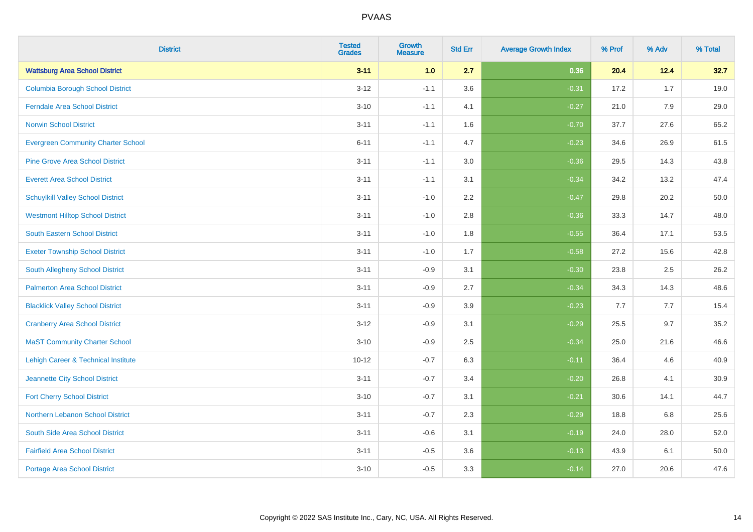| <b>District</b>                           | <b>Tested</b><br><b>Grades</b> | <b>Growth</b><br><b>Measure</b> | <b>Std Err</b> | <b>Average Growth Index</b> | % Prof | % Adv | % Total |
|-------------------------------------------|--------------------------------|---------------------------------|----------------|-----------------------------|--------|-------|---------|
| <b>Wattsburg Area School District</b>     | $3 - 11$                       | 1.0                             | 2.7            | 0.36                        | 20.4   | 12.4  | 32.7    |
| <b>Columbia Borough School District</b>   | $3 - 12$                       | $-1.1$                          | 3.6            | $-0.31$                     | 17.2   | 1.7   | 19.0    |
| <b>Ferndale Area School District</b>      | $3 - 10$                       | $-1.1$                          | 4.1            | $-0.27$                     | 21.0   | 7.9   | 29.0    |
| <b>Norwin School District</b>             | $3 - 11$                       | $-1.1$                          | 1.6            | $-0.70$                     | 37.7   | 27.6  | 65.2    |
| <b>Evergreen Community Charter School</b> | $6 - 11$                       | $-1.1$                          | 4.7            | $-0.23$                     | 34.6   | 26.9  | 61.5    |
| <b>Pine Grove Area School District</b>    | $3 - 11$                       | $-1.1$                          | 3.0            | $-0.36$                     | 29.5   | 14.3  | 43.8    |
| <b>Everett Area School District</b>       | $3 - 11$                       | $-1.1$                          | 3.1            | $-0.34$                     | 34.2   | 13.2  | 47.4    |
| <b>Schuylkill Valley School District</b>  | $3 - 11$                       | $-1.0$                          | 2.2            | $-0.47$                     | 29.8   | 20.2  | 50.0    |
| <b>Westmont Hilltop School District</b>   | $3 - 11$                       | $-1.0$                          | 2.8            | $-0.36$                     | 33.3   | 14.7  | 48.0    |
| South Eastern School District             | $3 - 11$                       | $-1.0$                          | 1.8            | $-0.55$                     | 36.4   | 17.1  | 53.5    |
| <b>Exeter Township School District</b>    | $3 - 11$                       | $-1.0$                          | 1.7            | $-0.58$                     | 27.2   | 15.6  | 42.8    |
| South Allegheny School District           | $3 - 11$                       | $-0.9$                          | 3.1            | $-0.30$                     | 23.8   | 2.5   | 26.2    |
| <b>Palmerton Area School District</b>     | $3 - 11$                       | $-0.9$                          | 2.7            | $-0.34$                     | 34.3   | 14.3  | 48.6    |
| <b>Blacklick Valley School District</b>   | $3 - 11$                       | $-0.9$                          | 3.9            | $-0.23$                     | 7.7    | 7.7   | 15.4    |
| <b>Cranberry Area School District</b>     | $3 - 12$                       | $-0.9$                          | 3.1            | $-0.29$                     | 25.5   | 9.7   | 35.2    |
| <b>MaST Community Charter School</b>      | $3 - 10$                       | $-0.9$                          | 2.5            | $-0.34$                     | 25.0   | 21.6  | 46.6    |
| Lehigh Career & Technical Institute       | $10 - 12$                      | $-0.7$                          | 6.3            | $-0.11$                     | 36.4   | 4.6   | 40.9    |
| Jeannette City School District            | $3 - 11$                       | $-0.7$                          | 3.4            | $-0.20$                     | 26.8   | 4.1   | 30.9    |
| <b>Fort Cherry School District</b>        | $3 - 10$                       | $-0.7$                          | 3.1            | $-0.21$                     | 30.6   | 14.1  | 44.7    |
| Northern Lebanon School District          | $3 - 11$                       | $-0.7$                          | 2.3            | $-0.29$                     | 18.8   | 6.8   | 25.6    |
| South Side Area School District           | $3 - 11$                       | $-0.6$                          | 3.1            | $-0.19$                     | 24.0   | 28.0  | 52.0    |
| <b>Fairfield Area School District</b>     | $3 - 11$                       | $-0.5$                          | 3.6            | $-0.13$                     | 43.9   | 6.1   | 50.0    |
| <b>Portage Area School District</b>       | $3 - 10$                       | $-0.5$                          | 3.3            | $-0.14$                     | 27.0   | 20.6  | 47.6    |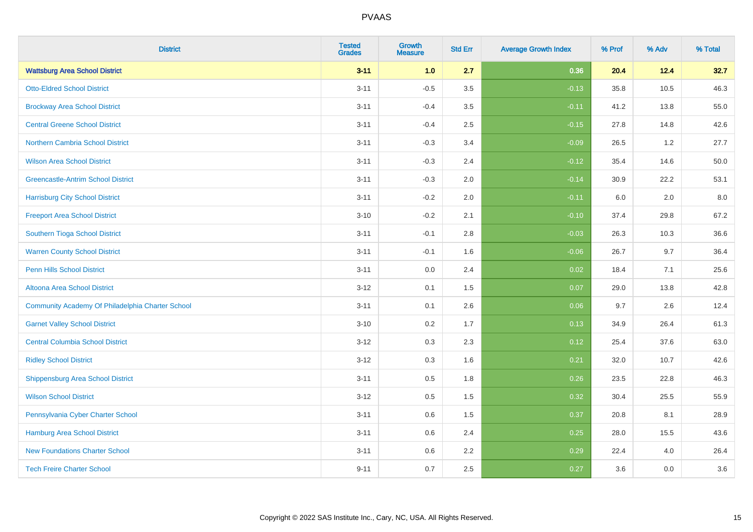| <b>District</b>                                  | <b>Tested</b><br><b>Grades</b> | <b>Growth</b><br><b>Measure</b> | <b>Std Err</b> | <b>Average Growth Index</b> | % Prof | % Adv | % Total |
|--------------------------------------------------|--------------------------------|---------------------------------|----------------|-----------------------------|--------|-------|---------|
| <b>Wattsburg Area School District</b>            | $3 - 11$                       | 1.0                             | 2.7            | 0.36                        | 20.4   | 12.4  | 32.7    |
| <b>Otto-Eldred School District</b>               | $3 - 11$                       | $-0.5$                          | 3.5            | $-0.13$                     | 35.8   | 10.5  | 46.3    |
| <b>Brockway Area School District</b>             | $3 - 11$                       | $-0.4$                          | 3.5            | $-0.11$                     | 41.2   | 13.8  | 55.0    |
| <b>Central Greene School District</b>            | $3 - 11$                       | $-0.4$                          | 2.5            | $-0.15$                     | 27.8   | 14.8  | 42.6    |
| <b>Northern Cambria School District</b>          | $3 - 11$                       | $-0.3$                          | 3.4            | $-0.09$                     | 26.5   | 1.2   | 27.7    |
| <b>Wilson Area School District</b>               | $3 - 11$                       | $-0.3$                          | 2.4            | $-0.12$                     | 35.4   | 14.6  | 50.0    |
| <b>Greencastle-Antrim School District</b>        | $3 - 11$                       | $-0.3$                          | 2.0            | $-0.14$                     | 30.9   | 22.2  | 53.1    |
| <b>Harrisburg City School District</b>           | $3 - 11$                       | $-0.2$                          | 2.0            | $-0.11$                     | 6.0    | 2.0   | 8.0     |
| <b>Freeport Area School District</b>             | $3 - 10$                       | $-0.2$                          | 2.1            | $-0.10$                     | 37.4   | 29.8  | 67.2    |
| Southern Tioga School District                   | $3 - 11$                       | $-0.1$                          | 2.8            | $-0.03$                     | 26.3   | 10.3  | 36.6    |
| <b>Warren County School District</b>             | $3 - 11$                       | $-0.1$                          | 1.6            | $-0.06$                     | 26.7   | 9.7   | 36.4    |
| <b>Penn Hills School District</b>                | $3 - 11$                       | 0.0                             | 2.4            | 0.02                        | 18.4   | 7.1   | 25.6    |
| Altoona Area School District                     | $3 - 12$                       | 0.1                             | 1.5            | 0.07                        | 29.0   | 13.8  | 42.8    |
| Community Academy Of Philadelphia Charter School | $3 - 11$                       | 0.1                             | 2.6            | 0.06                        | 9.7    | 2.6   | 12.4    |
| <b>Garnet Valley School District</b>             | $3 - 10$                       | 0.2                             | 1.7            | 0.13                        | 34.9   | 26.4  | 61.3    |
| <b>Central Columbia School District</b>          | $3 - 12$                       | 0.3                             | 2.3            | 0.12                        | 25.4   | 37.6  | 63.0    |
| <b>Ridley School District</b>                    | $3 - 12$                       | 0.3                             | 1.6            | 0.21                        | 32.0   | 10.7  | 42.6    |
| <b>Shippensburg Area School District</b>         | $3 - 11$                       | 0.5                             | 1.8            | 0.26                        | 23.5   | 22.8  | 46.3    |
| <b>Wilson School District</b>                    | $3 - 12$                       | 0.5                             | 1.5            | 0.32                        | 30.4   | 25.5  | 55.9    |
| Pennsylvania Cyber Charter School                | $3 - 11$                       | 0.6                             | 1.5            | 0.37                        | 20.8   | 8.1   | 28.9    |
| <b>Hamburg Area School District</b>              | $3 - 11$                       | 0.6                             | 2.4            | 0.25                        | 28.0   | 15.5  | 43.6    |
| <b>New Foundations Charter School</b>            | $3 - 11$                       | 0.6                             | 2.2            | 0.29                        | 22.4   | 4.0   | 26.4    |
| <b>Tech Freire Charter School</b>                | $9 - 11$                       | 0.7                             | 2.5            | 0.27                        | 3.6    | 0.0   | 3.6     |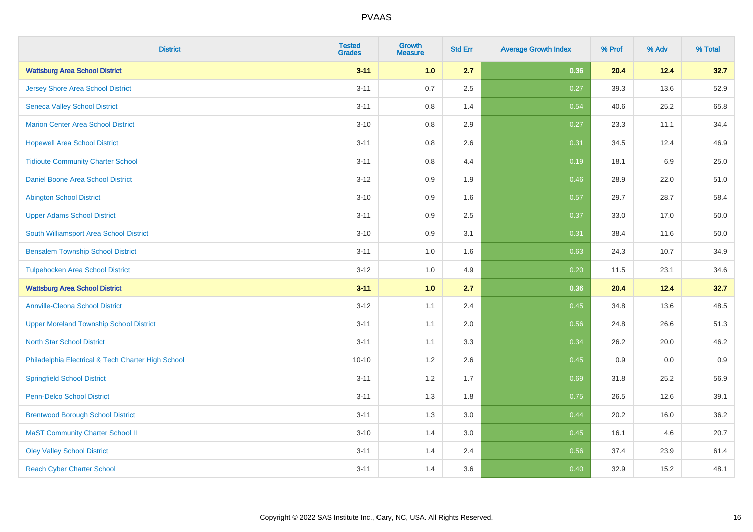| <b>District</b>                                    | <b>Tested</b><br><b>Grades</b> | <b>Growth</b><br><b>Measure</b> | <b>Std Err</b> | <b>Average Growth Index</b> | % Prof | % Adv   | % Total |
|----------------------------------------------------|--------------------------------|---------------------------------|----------------|-----------------------------|--------|---------|---------|
| <b>Wattsburg Area School District</b>              | $3 - 11$                       | 1.0                             | 2.7            | 0.36                        | 20.4   | 12.4    | 32.7    |
| <b>Jersey Shore Area School District</b>           | $3 - 11$                       | 0.7                             | 2.5            | 0.27                        | 39.3   | 13.6    | 52.9    |
| <b>Seneca Valley School District</b>               | $3 - 11$                       | 0.8                             | 1.4            | 0.54                        | 40.6   | 25.2    | 65.8    |
| <b>Marion Center Area School District</b>          | $3 - 10$                       | 0.8                             | 2.9            | 0.27                        | 23.3   | 11.1    | 34.4    |
| <b>Hopewell Area School District</b>               | $3 - 11$                       | 0.8                             | 2.6            | 0.31                        | 34.5   | 12.4    | 46.9    |
| <b>Tidioute Community Charter School</b>           | $3 - 11$                       | 0.8                             | 4.4            | 0.19                        | 18.1   | $6.9\,$ | 25.0    |
| Daniel Boone Area School District                  | $3 - 12$                       | 0.9                             | 1.9            | 0.46                        | 28.9   | 22.0    | 51.0    |
| <b>Abington School District</b>                    | $3 - 10$                       | 0.9                             | 1.6            | 0.57                        | 29.7   | 28.7    | 58.4    |
| <b>Upper Adams School District</b>                 | $3 - 11$                       | 0.9                             | 2.5            | 0.37                        | 33.0   | 17.0    | 50.0    |
| South Williamsport Area School District            | $3 - 10$                       | 0.9                             | 3.1            | 0.31                        | 38.4   | 11.6    | 50.0    |
| <b>Bensalem Township School District</b>           | $3 - 11$                       | 1.0                             | 1.6            | 0.63                        | 24.3   | 10.7    | 34.9    |
| <b>Tulpehocken Area School District</b>            | $3 - 12$                       | 1.0                             | 4.9            | 0.20                        | 11.5   | 23.1    | 34.6    |
| <b>Wattsburg Area School District</b>              | $3 - 11$                       | 1.0                             | 2.7            | 0.36                        | 20.4   | 12.4    | 32.7    |
| <b>Annville-Cleona School District</b>             | $3 - 12$                       | 1.1                             | 2.4            | 0.45                        | 34.8   | 13.6    | 48.5    |
| <b>Upper Moreland Township School District</b>     | $3 - 11$                       | 1.1                             | 2.0            | 0.56                        | 24.8   | 26.6    | 51.3    |
| <b>North Star School District</b>                  | $3 - 11$                       | 1.1                             | 3.3            | 0.34                        | 26.2   | 20.0    | 46.2    |
| Philadelphia Electrical & Tech Charter High School | $10 - 10$                      | 1.2                             | 2.6            | 0.45                        | 0.9    | 0.0     | 0.9     |
| <b>Springfield School District</b>                 | $3 - 11$                       | 1.2                             | 1.7            | 0.69                        | 31.8   | 25.2    | 56.9    |
| <b>Penn-Delco School District</b>                  | $3 - 11$                       | 1.3                             | 1.8            | 0.75                        | 26.5   | 12.6    | 39.1    |
| <b>Brentwood Borough School District</b>           | $3 - 11$                       | 1.3                             | 3.0            | 0.44                        | 20.2   | 16.0    | 36.2    |
| <b>MaST Community Charter School II</b>            | $3 - 10$                       | 1.4                             | 3.0            | 0.45                        | 16.1   | 4.6     | 20.7    |
| <b>Oley Valley School District</b>                 | $3 - 11$                       | 1.4                             | 2.4            | 0.56                        | 37.4   | 23.9    | 61.4    |
| <b>Reach Cyber Charter School</b>                  | $3 - 11$                       | 1.4                             | 3.6            | 0.40                        | 32.9   | 15.2    | 48.1    |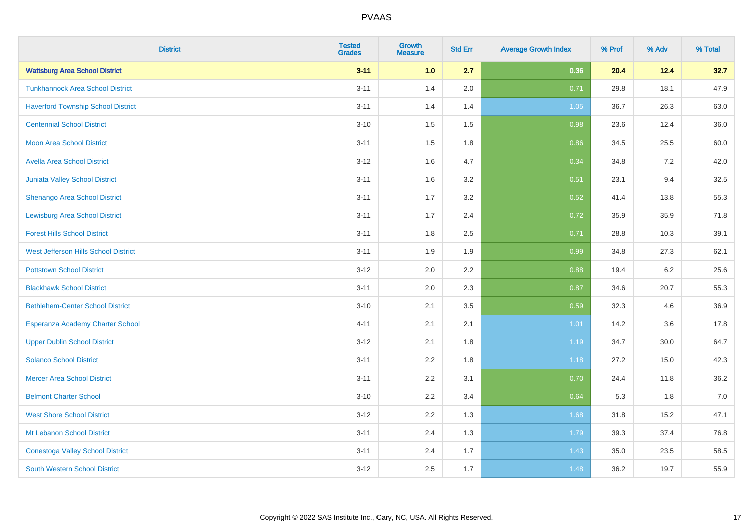| <b>District</b>                           | <b>Tested</b><br><b>Grades</b> | <b>Growth</b><br><b>Measure</b> | <b>Std Err</b> | <b>Average Growth Index</b> | % Prof | % Adv | % Total |
|-------------------------------------------|--------------------------------|---------------------------------|----------------|-----------------------------|--------|-------|---------|
| <b>Wattsburg Area School District</b>     | $3 - 11$                       | 1.0                             | 2.7            | 0.36                        | 20.4   | 12.4  | 32.7    |
| <b>Tunkhannock Area School District</b>   | $3 - 11$                       | 1.4                             | 2.0            | 0.71                        | 29.8   | 18.1  | 47.9    |
| <b>Haverford Township School District</b> | $3 - 11$                       | 1.4                             | 1.4            | 1.05                        | 36.7   | 26.3  | 63.0    |
| <b>Centennial School District</b>         | $3 - 10$                       | 1.5                             | 1.5            | 0.98                        | 23.6   | 12.4  | 36.0    |
| <b>Moon Area School District</b>          | $3 - 11$                       | 1.5                             | 1.8            | 0.86                        | 34.5   | 25.5  | 60.0    |
| <b>Avella Area School District</b>        | $3 - 12$                       | 1.6                             | 4.7            | 0.34                        | 34.8   | 7.2   | 42.0    |
| <b>Juniata Valley School District</b>     | $3 - 11$                       | 1.6                             | 3.2            | 0.51                        | 23.1   | 9.4   | 32.5    |
| <b>Shenango Area School District</b>      | $3 - 11$                       | 1.7                             | 3.2            | 0.52                        | 41.4   | 13.8  | 55.3    |
| <b>Lewisburg Area School District</b>     | $3 - 11$                       | 1.7                             | 2.4            | 0.72                        | 35.9   | 35.9  | 71.8    |
| <b>Forest Hills School District</b>       | $3 - 11$                       | 1.8                             | 2.5            | 0.71                        | 28.8   | 10.3  | 39.1    |
| West Jefferson Hills School District      | $3 - 11$                       | 1.9                             | 1.9            | 0.99                        | 34.8   | 27.3  | 62.1    |
| <b>Pottstown School District</b>          | $3 - 12$                       | 2.0                             | 2.2            | 0.88                        | 19.4   | 6.2   | 25.6    |
| <b>Blackhawk School District</b>          | $3 - 11$                       | 2.0                             | 2.3            | 0.87                        | 34.6   | 20.7  | 55.3    |
| <b>Bethlehem-Center School District</b>   | $3 - 10$                       | 2.1                             | 3.5            | 0.59                        | 32.3   | 4.6   | 36.9    |
| Esperanza Academy Charter School          | $4 - 11$                       | 2.1                             | 2.1            | 1.01                        | 14.2   | 3.6   | 17.8    |
| <b>Upper Dublin School District</b>       | $3 - 12$                       | 2.1                             | 1.8            | 1.19                        | 34.7   | 30.0  | 64.7    |
| <b>Solanco School District</b>            | $3 - 11$                       | 2.2                             | 1.8            | 1.18                        | 27.2   | 15.0  | 42.3    |
| <b>Mercer Area School District</b>        | $3 - 11$                       | 2.2                             | 3.1            | 0.70                        | 24.4   | 11.8  | 36.2    |
| <b>Belmont Charter School</b>             | $3 - 10$                       | 2.2                             | 3.4            | 0.64                        | 5.3    | 1.8   | $7.0$   |
| <b>West Shore School District</b>         | $3 - 12$                       | 2.2                             | 1.3            | 1.68                        | 31.8   | 15.2  | 47.1    |
| Mt Lebanon School District                | $3 - 11$                       | 2.4                             | 1.3            | 1.79                        | 39.3   | 37.4  | 76.8    |
| <b>Conestoga Valley School District</b>   | $3 - 11$                       | 2.4                             | 1.7            | 1.43                        | 35.0   | 23.5  | 58.5    |
| <b>South Western School District</b>      | $3 - 12$                       | 2.5                             | 1.7            | 1.48                        | 36.2   | 19.7  | 55.9    |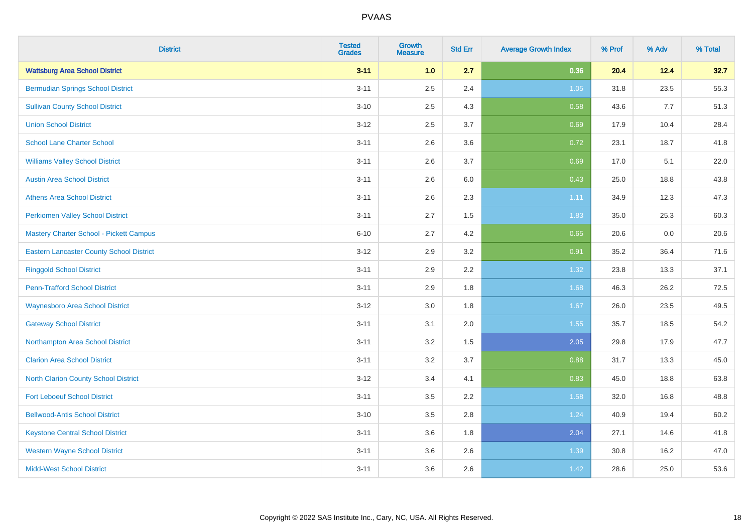| <b>District</b>                                 | <b>Tested</b><br><b>Grades</b> | <b>Growth</b><br><b>Measure</b> | <b>Std Err</b> | <b>Average Growth Index</b> | % Prof | % Adv | % Total |
|-------------------------------------------------|--------------------------------|---------------------------------|----------------|-----------------------------|--------|-------|---------|
| <b>Wattsburg Area School District</b>           | $3 - 11$                       | 1.0                             | 2.7            | 0.36                        | 20.4   | 12.4  | 32.7    |
| <b>Bermudian Springs School District</b>        | $3 - 11$                       | 2.5                             | 2.4            | $1.05$                      | 31.8   | 23.5  | 55.3    |
| <b>Sullivan County School District</b>          | $3 - 10$                       | 2.5                             | 4.3            | 0.58                        | 43.6   | 7.7   | 51.3    |
| <b>Union School District</b>                    | $3 - 12$                       | 2.5                             | 3.7            | 0.69                        | 17.9   | 10.4  | 28.4    |
| <b>School Lane Charter School</b>               | $3 - 11$                       | 2.6                             | 3.6            | 0.72                        | 23.1   | 18.7  | 41.8    |
| <b>Williams Valley School District</b>          | $3 - 11$                       | 2.6                             | 3.7            | 0.69                        | 17.0   | 5.1   | 22.0    |
| <b>Austin Area School District</b>              | $3 - 11$                       | 2.6                             | 6.0            | 0.43                        | 25.0   | 18.8  | 43.8    |
| <b>Athens Area School District</b>              | $3 - 11$                       | 2.6                             | 2.3            | 1.11                        | 34.9   | 12.3  | 47.3    |
| <b>Perkiomen Valley School District</b>         | $3 - 11$                       | 2.7                             | 1.5            | 1.83                        | 35.0   | 25.3  | 60.3    |
| Mastery Charter School - Pickett Campus         | $6 - 10$                       | 2.7                             | 4.2            | 0.65                        | 20.6   | 0.0   | 20.6    |
| <b>Eastern Lancaster County School District</b> | $3 - 12$                       | 2.9                             | 3.2            | 0.91                        | 35.2   | 36.4  | 71.6    |
| <b>Ringgold School District</b>                 | $3 - 11$                       | 2.9                             | 2.2            | 1.32                        | 23.8   | 13.3  | 37.1    |
| <b>Penn-Trafford School District</b>            | $3 - 11$                       | 2.9                             | 1.8            | 1.68                        | 46.3   | 26.2  | 72.5    |
| <b>Waynesboro Area School District</b>          | $3 - 12$                       | 3.0                             | 1.8            | 1.67                        | 26.0   | 23.5  | 49.5    |
| <b>Gateway School District</b>                  | $3 - 11$                       | 3.1                             | 2.0            | 1.55                        | 35.7   | 18.5  | 54.2    |
| Northampton Area School District                | $3 - 11$                       | 3.2                             | 1.5            | 2.05                        | 29.8   | 17.9  | 47.7    |
| <b>Clarion Area School District</b>             | $3 - 11$                       | 3.2                             | 3.7            | 0.88                        | 31.7   | 13.3  | 45.0    |
| North Clarion County School District            | $3 - 12$                       | 3.4                             | 4.1            | 0.83                        | 45.0   | 18.8  | 63.8    |
| <b>Fort Leboeuf School District</b>             | $3 - 11$                       | 3.5                             | 2.2            | 1.58                        | 32.0   | 16.8  | 48.8    |
| <b>Bellwood-Antis School District</b>           | $3 - 10$                       | 3.5                             | 2.8            | 1.24                        | 40.9   | 19.4  | 60.2    |
| <b>Keystone Central School District</b>         | $3 - 11$                       | 3.6                             | 1.8            | 2.04                        | 27.1   | 14.6  | 41.8    |
| <b>Western Wayne School District</b>            | $3 - 11$                       | 3.6                             | 2.6            | 1.39                        | 30.8   | 16.2  | 47.0    |
| <b>Midd-West School District</b>                | $3 - 11$                       | 3.6                             | 2.6            | 1.42                        | 28.6   | 25.0  | 53.6    |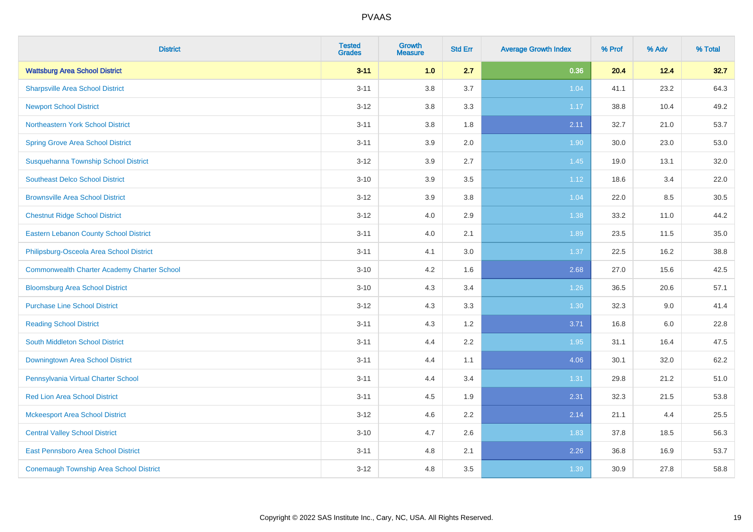| <b>District</b>                                    | <b>Tested</b><br><b>Grades</b> | Growth<br><b>Measure</b> | <b>Std Err</b> | <b>Average Growth Index</b> | % Prof | % Adv   | % Total |
|----------------------------------------------------|--------------------------------|--------------------------|----------------|-----------------------------|--------|---------|---------|
| <b>Wattsburg Area School District</b>              | $3 - 11$                       | 1.0                      | 2.7            | 0.36                        | 20.4   | 12.4    | 32.7    |
| <b>Sharpsville Area School District</b>            | $3 - 11$                       | $3.8\,$                  | 3.7            | 1.04                        | 41.1   | 23.2    | 64.3    |
| <b>Newport School District</b>                     | $3 - 12$                       | 3.8                      | 3.3            | 1.17                        | 38.8   | 10.4    | 49.2    |
| Northeastern York School District                  | $3 - 11$                       | 3.8                      | 1.8            | 2.11                        | 32.7   | 21.0    | 53.7    |
| <b>Spring Grove Area School District</b>           | $3 - 11$                       | 3.9                      | 2.0            | 1.90                        | 30.0   | 23.0    | 53.0    |
| Susquehanna Township School District               | $3 - 12$                       | 3.9                      | 2.7            | 1.45                        | 19.0   | 13.1    | 32.0    |
| <b>Southeast Delco School District</b>             | $3 - 10$                       | 3.9                      | 3.5            | 1.12                        | 18.6   | 3.4     | 22.0    |
| <b>Brownsville Area School District</b>            | $3 - 12$                       | 3.9                      | 3.8            | 1.04                        | 22.0   | 8.5     | 30.5    |
| <b>Chestnut Ridge School District</b>              | $3 - 12$                       | 4.0                      | 2.9            | 1.38                        | 33.2   | 11.0    | 44.2    |
| <b>Eastern Lebanon County School District</b>      | $3 - 11$                       | 4.0                      | 2.1            | 1.89                        | 23.5   | 11.5    | 35.0    |
| Philipsburg-Osceola Area School District           | $3 - 11$                       | 4.1                      | 3.0            | 1.37                        | 22.5   | 16.2    | 38.8    |
| <b>Commonwealth Charter Academy Charter School</b> | $3 - 10$                       | 4.2                      | 1.6            | 2.68                        | 27.0   | 15.6    | 42.5    |
| <b>Bloomsburg Area School District</b>             | $3 - 10$                       | 4.3                      | 3.4            | 1.26                        | 36.5   | 20.6    | 57.1    |
| <b>Purchase Line School District</b>               | $3 - 12$                       | 4.3                      | 3.3            | 1.30                        | 32.3   | 9.0     | 41.4    |
| <b>Reading School District</b>                     | $3 - 11$                       | 4.3                      | 1.2            | 3.71                        | 16.8   | $6.0\,$ | 22.8    |
| South Middleton School District                    | $3 - 11$                       | 4.4                      | 2.2            | 1.95                        | 31.1   | 16.4    | 47.5    |
| Downingtown Area School District                   | $3 - 11$                       | 4.4                      | 1.1            | 4.06                        | 30.1   | 32.0    | 62.2    |
| Pennsylvania Virtual Charter School                | $3 - 11$                       | 4.4                      | 3.4            | 1.31                        | 29.8   | 21.2    | 51.0    |
| <b>Red Lion Area School District</b>               | $3 - 11$                       | 4.5                      | 1.9            | 2.31                        | 32.3   | 21.5    | 53.8    |
| <b>Mckeesport Area School District</b>             | $3 - 12$                       | 4.6                      | 2.2            | 2.14                        | 21.1   | 4.4     | 25.5    |
| <b>Central Valley School District</b>              | $3 - 10$                       | 4.7                      | 2.6            | 1.83                        | 37.8   | 18.5    | 56.3    |
| <b>East Pennsboro Area School District</b>         | $3 - 11$                       | 4.8                      | 2.1            | 2.26                        | 36.8   | 16.9    | 53.7    |
| <b>Conemaugh Township Area School District</b>     | $3 - 12$                       | 4.8                      | 3.5            | 1.39                        | 30.9   | 27.8    | 58.8    |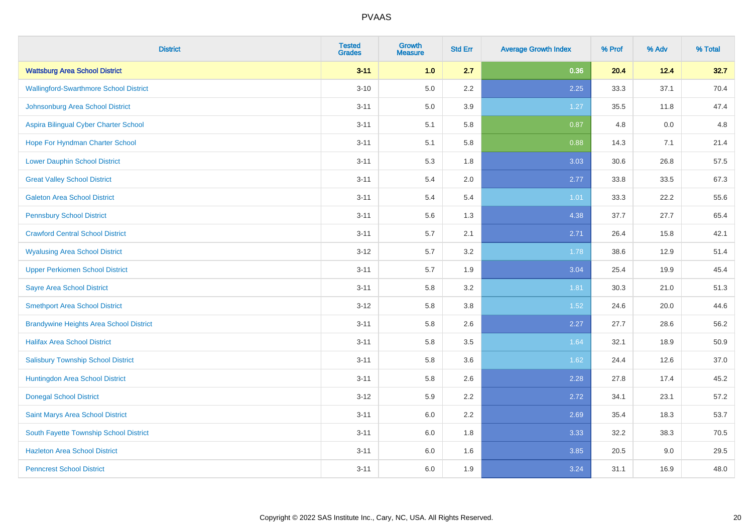| <b>District</b>                                | <b>Tested</b><br><b>Grades</b> | <b>Growth</b><br><b>Measure</b> | <b>Std Err</b> | <b>Average Growth Index</b> | % Prof | % Adv | % Total |
|------------------------------------------------|--------------------------------|---------------------------------|----------------|-----------------------------|--------|-------|---------|
| <b>Wattsburg Area School District</b>          | $3 - 11$                       | 1.0                             | 2.7            | 0.36                        | 20.4   | 12.4  | 32.7    |
| <b>Wallingford-Swarthmore School District</b>  | $3 - 10$                       | 5.0                             | 2.2            | 2.25                        | 33.3   | 37.1  | 70.4    |
| Johnsonburg Area School District               | $3 - 11$                       | 5.0                             | 3.9            | 1.27                        | 35.5   | 11.8  | 47.4    |
| Aspira Bilingual Cyber Charter School          | $3 - 11$                       | 5.1                             | 5.8            | 0.87                        | 4.8    | 0.0   | 4.8     |
| Hope For Hyndman Charter School                | $3 - 11$                       | 5.1                             | 5.8            | 0.88                        | 14.3   | 7.1   | 21.4    |
| <b>Lower Dauphin School District</b>           | $3 - 11$                       | 5.3                             | 1.8            | 3.03                        | 30.6   | 26.8  | 57.5    |
| <b>Great Valley School District</b>            | $3 - 11$                       | 5.4                             | 2.0            | 2.77                        | 33.8   | 33.5  | 67.3    |
| <b>Galeton Area School District</b>            | $3 - 11$                       | 5.4                             | 5.4            | 1.01                        | 33.3   | 22.2  | 55.6    |
| <b>Pennsbury School District</b>               | $3 - 11$                       | 5.6                             | 1.3            | 4.38                        | 37.7   | 27.7  | 65.4    |
| <b>Crawford Central School District</b>        | $3 - 11$                       | 5.7                             | 2.1            | 2.71                        | 26.4   | 15.8  | 42.1    |
| <b>Wyalusing Area School District</b>          | $3 - 12$                       | 5.7                             | 3.2            | 1.78                        | 38.6   | 12.9  | 51.4    |
| <b>Upper Perkiomen School District</b>         | $3 - 11$                       | 5.7                             | 1.9            | 3.04                        | 25.4   | 19.9  | 45.4    |
| <b>Sayre Area School District</b>              | $3 - 11$                       | 5.8                             | 3.2            | 1.81                        | 30.3   | 21.0  | 51.3    |
| <b>Smethport Area School District</b>          | $3 - 12$                       | 5.8                             | 3.8            | 1.52                        | 24.6   | 20.0  | 44.6    |
| <b>Brandywine Heights Area School District</b> | $3 - 11$                       | 5.8                             | 2.6            | 2.27                        | 27.7   | 28.6  | 56.2    |
| <b>Halifax Area School District</b>            | $3 - 11$                       | 5.8                             | 3.5            | 1.64                        | 32.1   | 18.9  | 50.9    |
| <b>Salisbury Township School District</b>      | $3 - 11$                       | 5.8                             | 3.6            | 1.62                        | 24.4   | 12.6  | 37.0    |
| Huntingdon Area School District                | $3 - 11$                       | 5.8                             | 2.6            | 2.28                        | 27.8   | 17.4  | 45.2    |
| <b>Donegal School District</b>                 | $3 - 12$                       | 5.9                             | 2.2            | 2.72                        | 34.1   | 23.1  | 57.2    |
| Saint Marys Area School District               | $3 - 11$                       | 6.0                             | 2.2            | 2.69                        | 35.4   | 18.3  | 53.7    |
| South Fayette Township School District         | $3 - 11$                       | 6.0                             | 1.8            | 3.33                        | 32.2   | 38.3  | 70.5    |
| <b>Hazleton Area School District</b>           | $3 - 11$                       | 6.0                             | 1.6            | 3.85                        | 20.5   | 9.0   | 29.5    |
| <b>Penncrest School District</b>               | $3 - 11$                       | 6.0                             | 1.9            | 3.24                        | 31.1   | 16.9  | 48.0    |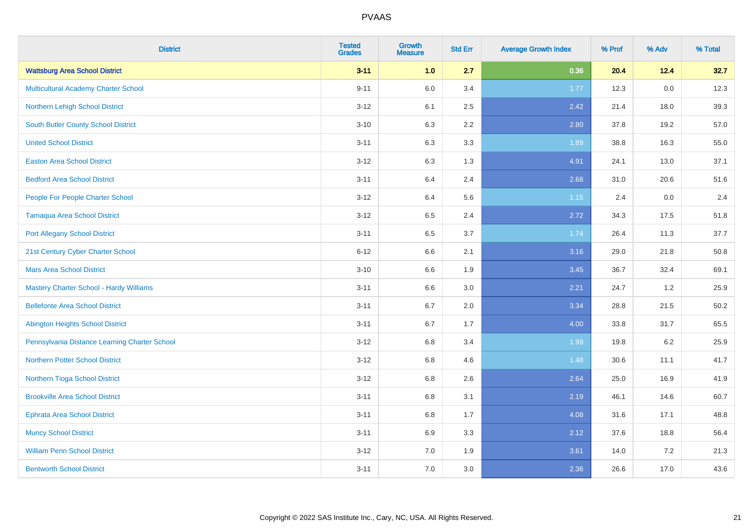| <b>District</b>                               | <b>Tested</b><br><b>Grades</b> | <b>Growth</b><br><b>Measure</b> | <b>Std Err</b> | <b>Average Growth Index</b> | % Prof | % Adv   | % Total |
|-----------------------------------------------|--------------------------------|---------------------------------|----------------|-----------------------------|--------|---------|---------|
| <b>Wattsburg Area School District</b>         | $3 - 11$                       | 1.0                             | 2.7            | 0.36                        | 20.4   | 12.4    | 32.7    |
| Multicultural Academy Charter School          | $9 - 11$                       | 6.0                             | 3.4            | 1.77                        | 12.3   | $0.0\,$ | 12.3    |
| Northern Lehigh School District               | $3 - 12$                       | 6.1                             | 2.5            | 2.42                        | 21.4   | 18.0    | 39.3    |
| South Butler County School District           | $3 - 10$                       | 6.3                             | 2.2            | 2.80                        | 37.8   | 19.2    | 57.0    |
| <b>United School District</b>                 | $3 - 11$                       | 6.3                             | 3.3            | 1.89                        | 38.8   | 16.3    | 55.0    |
| <b>Easton Area School District</b>            | $3 - 12$                       | 6.3                             | 1.3            | 4.91                        | 24.1   | 13.0    | 37.1    |
| <b>Bedford Area School District</b>           | $3 - 11$                       | 6.4                             | 2.4            | 2.68                        | 31.0   | 20.6    | 51.6    |
| People For People Charter School              | $3-12$                         | 6.4                             | 5.6            | 1.15                        | 2.4    | 0.0     | 2.4     |
| <b>Tamaqua Area School District</b>           | $3-12$                         | 6.5                             | 2.4            | 2.72                        | 34.3   | 17.5    | 51.8    |
| <b>Port Allegany School District</b>          | $3 - 11$                       | 6.5                             | 3.7            | 1.74                        | 26.4   | 11.3    | 37.7    |
| 21st Century Cyber Charter School             | $6 - 12$                       | 6.6                             | 2.1            | 3.16                        | 29.0   | 21.8    | 50.8    |
| <b>Mars Area School District</b>              | $3 - 10$                       | 6.6                             | 1.9            | 3.45                        | 36.7   | 32.4    | 69.1    |
| Mastery Charter School - Hardy Williams       | $3 - 11$                       | 6.6                             | $3.0\,$        | 2.21                        | 24.7   | $1.2$   | 25.9    |
| <b>Bellefonte Area School District</b>        | $3 - 11$                       | 6.7                             | 2.0            | 3.34                        | 28.8   | 21.5    | 50.2    |
| <b>Abington Heights School District</b>       | $3 - 11$                       | 6.7                             | 1.7            | 4.00                        | 33.8   | 31.7    | 65.5    |
| Pennsylvania Distance Learning Charter School | $3 - 12$                       | $6.8\,$                         | 3.4            | 1.99                        | 19.8   | $6.2\,$ | 25.9    |
| <b>Northern Potter School District</b>        | $3 - 12$                       | 6.8                             | 4.6            | 1.48                        | 30.6   | 11.1    | 41.7    |
| Northern Tioga School District                | $3-12$                         | 6.8                             | 2.6            | 2.64                        | 25.0   | 16.9    | 41.9    |
| <b>Brookville Area School District</b>        | $3 - 11$                       | 6.8                             | 3.1            | 2.19                        | 46.1   | 14.6    | 60.7    |
| <b>Ephrata Area School District</b>           | $3 - 11$                       | 6.8                             | 1.7            | 4.08                        | 31.6   | 17.1    | 48.8    |
| <b>Muncy School District</b>                  | $3 - 11$                       | 6.9                             | 3.3            | 2.12                        | 37.6   | 18.8    | 56.4    |
| <b>William Penn School District</b>           | $3 - 12$                       | 7.0                             | 1.9            | 3.61                        | 14.0   | $7.2\,$ | 21.3    |
| <b>Bentworth School District</b>              | $3 - 11$                       | 7.0                             | 3.0            | 2.36                        | 26.6   | 17.0    | 43.6    |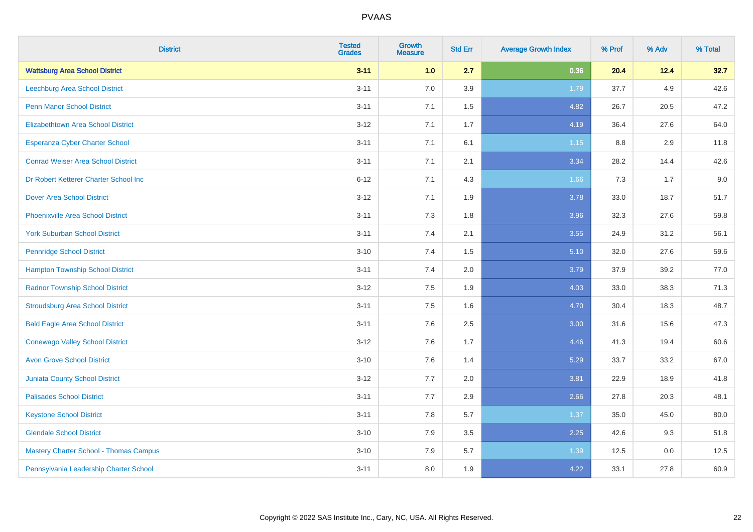| <b>District</b>                               | <b>Tested</b><br><b>Grades</b> | <b>Growth</b><br><b>Measure</b> | <b>Std Err</b> | <b>Average Growth Index</b> | % Prof | % Adv | % Total |
|-----------------------------------------------|--------------------------------|---------------------------------|----------------|-----------------------------|--------|-------|---------|
| <b>Wattsburg Area School District</b>         | $3 - 11$                       | 1.0                             | 2.7            | 0.36                        | 20.4   | 12.4  | 32.7    |
| <b>Leechburg Area School District</b>         | $3 - 11$                       | 7.0                             | 3.9            | 1.79                        | 37.7   | 4.9   | 42.6    |
| <b>Penn Manor School District</b>             | $3 - 11$                       | 7.1                             | 1.5            | 4.82                        | 26.7   | 20.5  | 47.2    |
| <b>Elizabethtown Area School District</b>     | $3 - 12$                       | 7.1                             | 1.7            | 4.19                        | 36.4   | 27.6  | 64.0    |
| <b>Esperanza Cyber Charter School</b>         | $3 - 11$                       | 7.1                             | 6.1            | 1.15                        | 8.8    | 2.9   | 11.8    |
| <b>Conrad Weiser Area School District</b>     | $3 - 11$                       | 7.1                             | 2.1            | 3.34                        | 28.2   | 14.4  | 42.6    |
| Dr Robert Ketterer Charter School Inc         | $6 - 12$                       | 7.1                             | 4.3            | 1.66                        | 7.3    | 1.7   | 9.0     |
| <b>Dover Area School District</b>             | $3 - 12$                       | 7.1                             | 1.9            | 3.78                        | 33.0   | 18.7  | 51.7    |
| <b>Phoenixville Area School District</b>      | $3 - 11$                       | 7.3                             | 1.8            | 3.96                        | 32.3   | 27.6  | 59.8    |
| <b>York Suburban School District</b>          | $3 - 11$                       | 7.4                             | 2.1            | 3.55                        | 24.9   | 31.2  | 56.1    |
| <b>Pennridge School District</b>              | $3 - 10$                       | 7.4                             | 1.5            | 5.10                        | 32.0   | 27.6  | 59.6    |
| <b>Hampton Township School District</b>       | $3 - 11$                       | 7.4                             | 2.0            | 3.79                        | 37.9   | 39.2  | 77.0    |
| <b>Radnor Township School District</b>        | $3 - 12$                       | $7.5\,$                         | 1.9            | 4.03                        | 33.0   | 38.3  | 71.3    |
| <b>Stroudsburg Area School District</b>       | $3 - 11$                       | 7.5                             | 1.6            | 4.70                        | 30.4   | 18.3  | 48.7    |
| <b>Bald Eagle Area School District</b>        | $3 - 11$                       | 7.6                             | 2.5            | 3.00                        | 31.6   | 15.6  | 47.3    |
| <b>Conewago Valley School District</b>        | $3-12$                         | 7.6                             | 1.7            | 4.46                        | 41.3   | 19.4  | 60.6    |
| <b>Avon Grove School District</b>             | $3 - 10$                       | 7.6                             | 1.4            | 5.29                        | 33.7   | 33.2  | 67.0    |
| <b>Juniata County School District</b>         | $3 - 12$                       | 7.7                             | 2.0            | 3.81                        | 22.9   | 18.9  | 41.8    |
| <b>Palisades School District</b>              | $3 - 11$                       | 7.7                             | 2.9            | 2.66                        | 27.8   | 20.3  | 48.1    |
| <b>Keystone School District</b>               | $3 - 11$                       | 7.8                             | 5.7            | 1.37                        | 35.0   | 45.0  | 80.0    |
| <b>Glendale School District</b>               | $3 - 10$                       | 7.9                             | 3.5            | 2.25                        | 42.6   | 9.3   | 51.8    |
| <b>Mastery Charter School - Thomas Campus</b> | $3 - 10$                       | 7.9                             | 5.7            | 1.39                        | 12.5   | 0.0   | 12.5    |
| Pennsylvania Leadership Charter School        | $3 - 11$                       | 8.0                             | 1.9            | 4.22                        | 33.1   | 27.8  | 60.9    |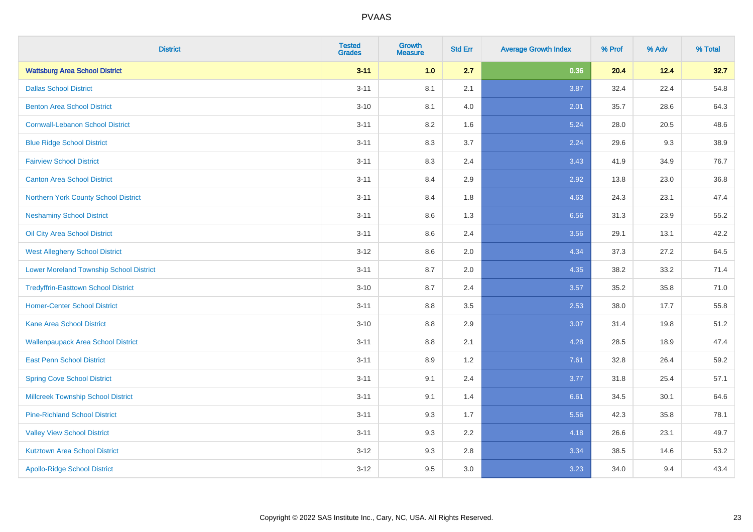| <b>District</b>                                | <b>Tested</b><br><b>Grades</b> | Growth<br><b>Measure</b> | <b>Std Err</b> | <b>Average Growth Index</b> | % Prof | % Adv | % Total |
|------------------------------------------------|--------------------------------|--------------------------|----------------|-----------------------------|--------|-------|---------|
| <b>Wattsburg Area School District</b>          | $3 - 11$                       | 1.0                      | 2.7            | 0.36                        | 20.4   | 12.4  | 32.7    |
| <b>Dallas School District</b>                  | $3 - 11$                       | 8.1                      | 2.1            | 3.87                        | 32.4   | 22.4  | 54.8    |
| <b>Benton Area School District</b>             | $3 - 10$                       | 8.1                      | 4.0            | 2.01                        | 35.7   | 28.6  | 64.3    |
| <b>Cornwall-Lebanon School District</b>        | $3 - 11$                       | 8.2                      | 1.6            | 5.24                        | 28.0   | 20.5  | 48.6    |
| <b>Blue Ridge School District</b>              | $3 - 11$                       | 8.3                      | 3.7            | 2.24                        | 29.6   | 9.3   | 38.9    |
| <b>Fairview School District</b>                | $3 - 11$                       | 8.3                      | 2.4            | 3.43                        | 41.9   | 34.9  | 76.7    |
| <b>Canton Area School District</b>             | $3 - 11$                       | 8.4                      | 2.9            | 2.92                        | 13.8   | 23.0  | 36.8    |
| Northern York County School District           | $3 - 11$                       | 8.4                      | 1.8            | 4.63                        | 24.3   | 23.1  | 47.4    |
| <b>Neshaminy School District</b>               | $3 - 11$                       | 8.6                      | 1.3            | 6.56                        | 31.3   | 23.9  | 55.2    |
| Oil City Area School District                  | $3 - 11$                       | 8.6                      | 2.4            | 3.56                        | 29.1   | 13.1  | 42.2    |
| <b>West Allegheny School District</b>          | $3 - 12$                       | 8.6                      | 2.0            | 4.34                        | 37.3   | 27.2  | 64.5    |
| <b>Lower Moreland Township School District</b> | $3 - 11$                       | 8.7                      | 2.0            | 4.35                        | 38.2   | 33.2  | 71.4    |
| <b>Tredyffrin-Easttown School District</b>     | $3 - 10$                       | 8.7                      | 2.4            | 3.57                        | 35.2   | 35.8  | 71.0    |
| <b>Homer-Center School District</b>            | $3 - 11$                       | 8.8                      | 3.5            | 2.53                        | 38.0   | 17.7  | 55.8    |
| <b>Kane Area School District</b>               | $3 - 10$                       | 8.8                      | 2.9            | 3.07                        | 31.4   | 19.8  | 51.2    |
| <b>Wallenpaupack Area School District</b>      | $3 - 11$                       | 8.8                      | 2.1            | 4.28                        | 28.5   | 18.9  | 47.4    |
| <b>East Penn School District</b>               | $3 - 11$                       | 8.9                      | 1.2            | 7.61                        | 32.8   | 26.4  | 59.2    |
| <b>Spring Cove School District</b>             | $3 - 11$                       | 9.1                      | 2.4            | 3.77                        | 31.8   | 25.4  | 57.1    |
| <b>Millcreek Township School District</b>      | $3 - 11$                       | 9.1                      | 1.4            | 6.61                        | 34.5   | 30.1  | 64.6    |
| <b>Pine-Richland School District</b>           | $3 - 11$                       | 9.3                      | 1.7            | 5.56                        | 42.3   | 35.8  | 78.1    |
| <b>Valley View School District</b>             | $3 - 11$                       | 9.3                      | 2.2            | 4.18                        | 26.6   | 23.1  | 49.7    |
| <b>Kutztown Area School District</b>           | $3 - 12$                       | 9.3                      | 2.8            | 3.34                        | 38.5   | 14.6  | 53.2    |
| <b>Apollo-Ridge School District</b>            | $3 - 12$                       | 9.5                      | 3.0            | 3.23                        | 34.0   | 9.4   | 43.4    |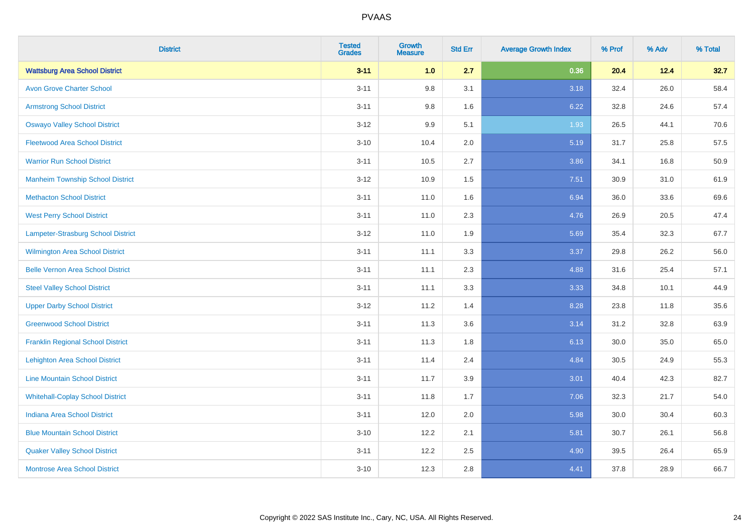| <b>District</b>                          | <b>Tested</b><br><b>Grades</b> | <b>Growth</b><br><b>Measure</b> | <b>Std Err</b> | <b>Average Growth Index</b> | % Prof | % Adv | % Total |
|------------------------------------------|--------------------------------|---------------------------------|----------------|-----------------------------|--------|-------|---------|
| <b>Wattsburg Area School District</b>    | $3 - 11$                       | 1.0                             | 2.7            | 0.36                        | 20.4   | 12.4  | 32.7    |
| <b>Avon Grove Charter School</b>         | $3 - 11$                       | 9.8                             | 3.1            | 3.18                        | 32.4   | 26.0  | 58.4    |
| <b>Armstrong School District</b>         | $3 - 11$                       | 9.8                             | 1.6            | 6.22                        | 32.8   | 24.6  | 57.4    |
| <b>Oswayo Valley School District</b>     | $3 - 12$                       | 9.9                             | 5.1            | 1.93                        | 26.5   | 44.1  | 70.6    |
| <b>Fleetwood Area School District</b>    | $3 - 10$                       | 10.4                            | 2.0            | 5.19                        | 31.7   | 25.8  | 57.5    |
| <b>Warrior Run School District</b>       | $3 - 11$                       | 10.5                            | 2.7            | 3.86                        | 34.1   | 16.8  | 50.9    |
| <b>Manheim Township School District</b>  | $3-12$                         | 10.9                            | 1.5            | 7.51                        | 30.9   | 31.0  | 61.9    |
| <b>Methacton School District</b>         | $3 - 11$                       | 11.0                            | 1.6            | 6.94                        | 36.0   | 33.6  | 69.6    |
| <b>West Perry School District</b>        | $3 - 11$                       | 11.0                            | 2.3            | 4.76                        | 26.9   | 20.5  | 47.4    |
| Lampeter-Strasburg School District       | $3 - 12$                       | 11.0                            | 1.9            | 5.69                        | 35.4   | 32.3  | 67.7    |
| <b>Wilmington Area School District</b>   | $3 - 11$                       | 11.1                            | 3.3            | 3.37                        | 29.8   | 26.2  | 56.0    |
| <b>Belle Vernon Area School District</b> | $3 - 11$                       | 11.1                            | 2.3            | 4.88                        | 31.6   | 25.4  | 57.1    |
| <b>Steel Valley School District</b>      | $3 - 11$                       | 11.1                            | 3.3            | 3.33                        | 34.8   | 10.1  | 44.9    |
| <b>Upper Darby School District</b>       | $3 - 12$                       | 11.2                            | 1.4            | 8.28                        | 23.8   | 11.8  | 35.6    |
| <b>Greenwood School District</b>         | $3 - 11$                       | 11.3                            | 3.6            | 3.14                        | 31.2   | 32.8  | 63.9    |
| <b>Franklin Regional School District</b> | $3 - 11$                       | 11.3                            | 1.8            | 6.13                        | 30.0   | 35.0  | 65.0    |
| <b>Lehighton Area School District</b>    | $3 - 11$                       | 11.4                            | 2.4            | 4.84                        | 30.5   | 24.9  | 55.3    |
| <b>Line Mountain School District</b>     | $3 - 11$                       | 11.7                            | 3.9            | 3.01                        | 40.4   | 42.3  | 82.7    |
| <b>Whitehall-Coplay School District</b>  | $3 - 11$                       | 11.8                            | 1.7            | 7.06                        | 32.3   | 21.7  | 54.0    |
| <b>Indiana Area School District</b>      | $3 - 11$                       | 12.0                            | 2.0            | 5.98                        | 30.0   | 30.4  | 60.3    |
| <b>Blue Mountain School District</b>     | $3 - 10$                       | 12.2                            | 2.1            | 5.81                        | 30.7   | 26.1  | 56.8    |
| <b>Quaker Valley School District</b>     | $3 - 11$                       | 12.2                            | 2.5            | 4.90                        | 39.5   | 26.4  | 65.9    |
| <b>Montrose Area School District</b>     | $3 - 10$                       | 12.3                            | 2.8            | 4.41                        | 37.8   | 28.9  | 66.7    |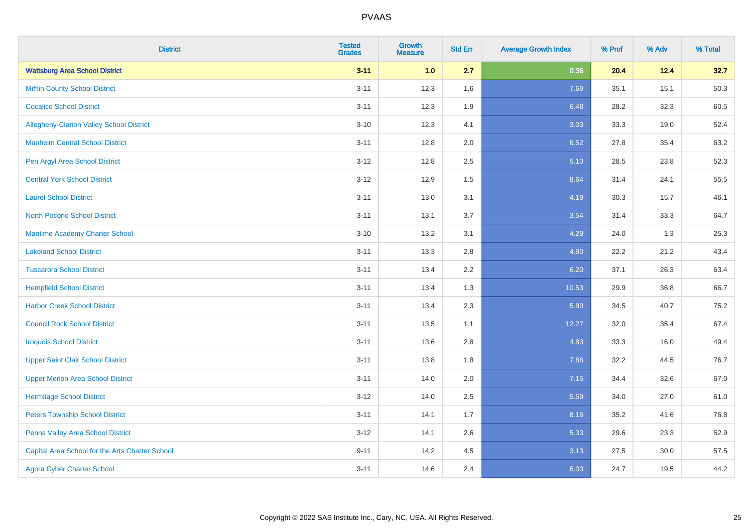| <b>District</b>                                 | <b>Tested</b><br><b>Grades</b> | <b>Growth</b><br><b>Measure</b> | <b>Std Err</b> | <b>Average Growth Index</b> | % Prof | % Adv | % Total |
|-------------------------------------------------|--------------------------------|---------------------------------|----------------|-----------------------------|--------|-------|---------|
| <b>Wattsburg Area School District</b>           | $3 - 11$                       | 1.0                             | 2.7            | 0.36                        | 20.4   | 12.4  | 32.7    |
| <b>Mifflin County School District</b>           | $3 - 11$                       | 12.3                            | 1.6            | 7.69                        | 35.1   | 15.1  | 50.3    |
| <b>Cocalico School District</b>                 | $3 - 11$                       | 12.3                            | 1.9            | 6.48                        | 28.2   | 32.3  | 60.5    |
| Allegheny-Clarion Valley School District        | $3 - 10$                       | 12.3                            | 4.1            | 3.03                        | 33.3   | 19.0  | 52.4    |
| <b>Manheim Central School District</b>          | $3 - 11$                       | 12.8                            | 2.0            | 6.52                        | 27.8   | 35.4  | 63.2    |
| Pen Argyl Area School District                  | $3 - 12$                       | 12.8                            | 2.5            | 5.10                        | 28.5   | 23.8  | 52.3    |
| <b>Central York School District</b>             | $3 - 12$                       | 12.9                            | 1.5            | 8.64                        | 31.4   | 24.1  | 55.5    |
| <b>Laurel School District</b>                   | $3 - 11$                       | 13.0                            | 3.1            | 4.19                        | 30.3   | 15.7  | 46.1    |
| <b>North Pocono School District</b>             | $3 - 11$                       | 13.1                            | 3.7            | 3.54                        | 31.4   | 33.3  | 64.7    |
| <b>Maritime Academy Charter School</b>          | $3 - 10$                       | 13.2                            | 3.1            | 4.29                        | 24.0   | 1.3   | 25.3    |
| <b>Lakeland School District</b>                 | $3 - 11$                       | 13.3                            | 2.8            | 4.80                        | 22.2   | 21.2  | 43.4    |
| <b>Tuscarora School District</b>                | $3 - 11$                       | 13.4                            | 2.2            | 6.20                        | 37.1   | 26.3  | 63.4    |
| <b>Hempfield School District</b>                | $3 - 11$                       | 13.4                            | 1.3            | 10.53                       | 29.9   | 36.8  | 66.7    |
| <b>Harbor Creek School District</b>             | $3 - 11$                       | 13.4                            | 2.3            | 5.80                        | 34.5   | 40.7  | 75.2    |
| <b>Council Rock School District</b>             | $3 - 11$                       | 13.5                            | 1.1            | 12.27                       | 32.0   | 35.4  | 67.4    |
| <b>Iroquois School District</b>                 | $3 - 11$                       | 13.6                            | 2.8            | 4.83                        | 33.3   | 16.0  | 49.4    |
| <b>Upper Saint Clair School District</b>        | $3 - 11$                       | 13.8                            | 1.8            | 7.86                        | 32.2   | 44.5  | 76.7    |
| <b>Upper Merion Area School District</b>        | $3 - 11$                       | 14.0                            | 2.0            | 7.15                        | 34.4   | 32.6  | 67.0    |
| <b>Hermitage School District</b>                | $3 - 12$                       | 14.0                            | 2.5            | 5.59                        | 34.0   | 27.0  | 61.0    |
| <b>Peters Township School District</b>          | $3 - 11$                       | 14.1                            | 1.7            | 8.16                        | 35.2   | 41.6  | 76.8    |
| Penns Valley Area School District               | $3 - 12$                       | 14.1                            | 2.6            | 5.33                        | 29.6   | 23.3  | 52.9    |
| Capital Area School for the Arts Charter School | $9 - 11$                       | 14.2                            | 4.5            | 3.13                        | 27.5   | 30.0  | 57.5    |
| <b>Agora Cyber Charter School</b>               | $3 - 11$                       | 14.6                            | 2.4            | 6.03                        | 24.7   | 19.5  | 44.2    |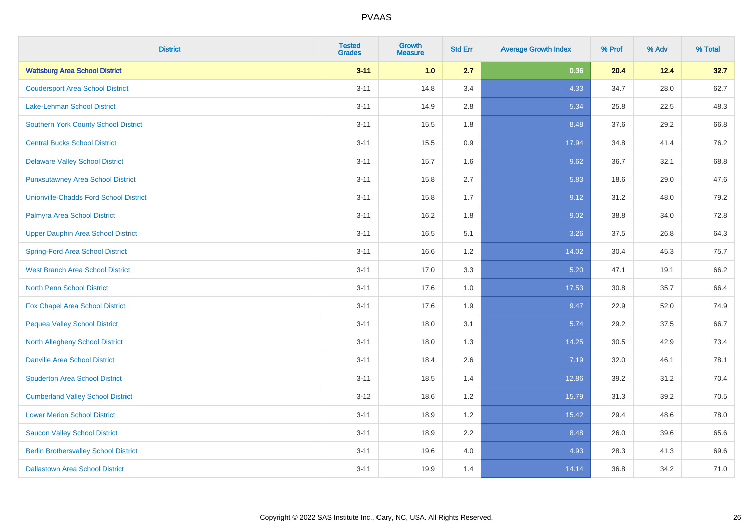| <b>District</b>                               | <b>Tested</b><br><b>Grades</b> | <b>Growth</b><br><b>Measure</b> | <b>Std Err</b> | <b>Average Growth Index</b> | % Prof | % Adv | % Total |
|-----------------------------------------------|--------------------------------|---------------------------------|----------------|-----------------------------|--------|-------|---------|
| <b>Wattsburg Area School District</b>         | $3 - 11$                       | 1.0                             | 2.7            | 0.36                        | 20.4   | 12.4  | 32.7    |
| <b>Coudersport Area School District</b>       | $3 - 11$                       | 14.8                            | 3.4            | 4.33                        | 34.7   | 28.0  | 62.7    |
| <b>Lake-Lehman School District</b>            | $3 - 11$                       | 14.9                            | 2.8            | 5.34                        | 25.8   | 22.5  | 48.3    |
| <b>Southern York County School District</b>   | $3 - 11$                       | 15.5                            | 1.8            | 8.48                        | 37.6   | 29.2  | 66.8    |
| <b>Central Bucks School District</b>          | $3 - 11$                       | 15.5                            | 0.9            | 17.94                       | 34.8   | 41.4  | 76.2    |
| <b>Delaware Valley School District</b>        | $3 - 11$                       | 15.7                            | 1.6            | 9.62                        | 36.7   | 32.1  | 68.8    |
| <b>Punxsutawney Area School District</b>      | $3 - 11$                       | 15.8                            | 2.7            | 5.83                        | 18.6   | 29.0  | 47.6    |
| <b>Unionville-Chadds Ford School District</b> | $3 - 11$                       | 15.8                            | 1.7            | 9.12                        | 31.2   | 48.0  | 79.2    |
| Palmyra Area School District                  | $3 - 11$                       | 16.2                            | 1.8            | 9.02                        | 38.8   | 34.0  | 72.8    |
| <b>Upper Dauphin Area School District</b>     | $3 - 11$                       | 16.5                            | 5.1            | 3.26                        | 37.5   | 26.8  | 64.3    |
| <b>Spring-Ford Area School District</b>       | $3 - 11$                       | 16.6                            | 1.2            | 14.02                       | 30.4   | 45.3  | 75.7    |
| <b>West Branch Area School District</b>       | $3 - 11$                       | 17.0                            | 3.3            | 5.20                        | 47.1   | 19.1  | 66.2    |
| North Penn School District                    | $3 - 11$                       | 17.6                            | 1.0            | 17.53                       | 30.8   | 35.7  | 66.4    |
| <b>Fox Chapel Area School District</b>        | $3 - 11$                       | 17.6                            | 1.9            | 9.47                        | 22.9   | 52.0  | 74.9    |
| <b>Pequea Valley School District</b>          | $3 - 11$                       | 18.0                            | 3.1            | 5.74                        | 29.2   | 37.5  | 66.7    |
| North Allegheny School District               | $3 - 11$                       | 18.0                            | 1.3            | 14.25                       | 30.5   | 42.9  | 73.4    |
| <b>Danville Area School District</b>          | $3 - 11$                       | 18.4                            | 2.6            | 7.19                        | 32.0   | 46.1  | 78.1    |
| <b>Souderton Area School District</b>         | $3 - 11$                       | 18.5                            | 1.4            | 12.86                       | 39.2   | 31.2  | 70.4    |
| <b>Cumberland Valley School District</b>      | $3 - 12$                       | 18.6                            | 1.2            | 15.79                       | 31.3   | 39.2  | 70.5    |
| <b>Lower Merion School District</b>           | $3 - 11$                       | 18.9                            | 1.2            | 15.42                       | 29.4   | 48.6  | 78.0    |
| <b>Saucon Valley School District</b>          | $3 - 11$                       | 18.9                            | 2.2            | 8.48                        | 26.0   | 39.6  | 65.6    |
| <b>Berlin Brothersvalley School District</b>  | $3 - 11$                       | 19.6                            | 4.0            | 4.93                        | 28.3   | 41.3  | 69.6    |
| <b>Dallastown Area School District</b>        | $3 - 11$                       | 19.9                            | 1.4            | 14.14                       | 36.8   | 34.2  | 71.0    |